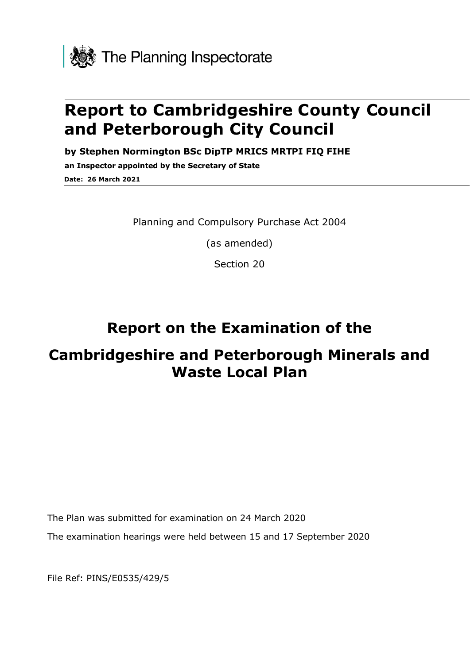

# **Report to Cambridgeshire County Council and Peterborough City Council**

**by Stephen Normington BSc DipTP MRICS MRTPI FIQ FIHE**

**an Inspector appointed by the Secretary of State Date: 26 March 2021**

Planning and Compulsory Purchase Act 2004

(as amended)

Section 20

# **Report on the Examination of the**

# **Cambridgeshire and Peterborough Minerals and Waste Local Plan**

The Plan was submitted for examination on 24 March 2020

The examination hearings were held between 15 and 17 September 2020

File Ref: PINS/E0535/429/5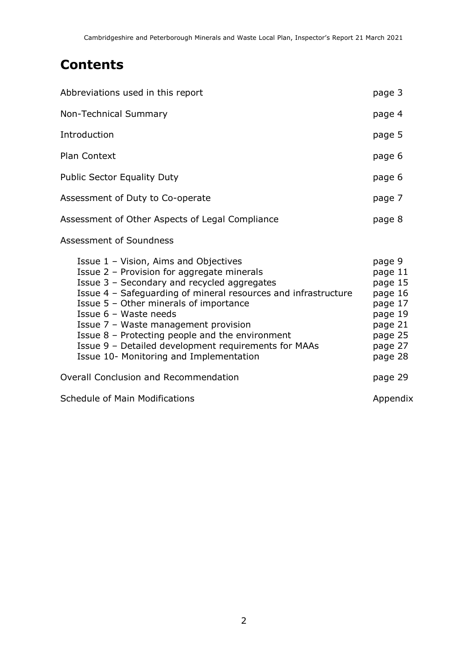## **Contents**

| Abbreviations used in this report                                                                                                                                                                                                                                                                                                                                                                                                                                     |                                                                                                           |  |  |  |  |
|-----------------------------------------------------------------------------------------------------------------------------------------------------------------------------------------------------------------------------------------------------------------------------------------------------------------------------------------------------------------------------------------------------------------------------------------------------------------------|-----------------------------------------------------------------------------------------------------------|--|--|--|--|
| Non-Technical Summary                                                                                                                                                                                                                                                                                                                                                                                                                                                 | page 4                                                                                                    |  |  |  |  |
| Introduction                                                                                                                                                                                                                                                                                                                                                                                                                                                          | page 5                                                                                                    |  |  |  |  |
| <b>Plan Context</b>                                                                                                                                                                                                                                                                                                                                                                                                                                                   | page 6                                                                                                    |  |  |  |  |
| <b>Public Sector Equality Duty</b>                                                                                                                                                                                                                                                                                                                                                                                                                                    | page 6                                                                                                    |  |  |  |  |
| Assessment of Duty to Co-operate                                                                                                                                                                                                                                                                                                                                                                                                                                      | page 7                                                                                                    |  |  |  |  |
| Assessment of Other Aspects of Legal Compliance                                                                                                                                                                                                                                                                                                                                                                                                                       |                                                                                                           |  |  |  |  |
| Assessment of Soundness                                                                                                                                                                                                                                                                                                                                                                                                                                               |                                                                                                           |  |  |  |  |
| Issue 1 - Vision, Aims and Objectives<br>Issue 2 - Provision for aggregate minerals<br>Issue 3 - Secondary and recycled aggregates<br>Issue 4 - Safeguarding of mineral resources and infrastructure<br>Issue 5 - Other minerals of importance<br>Issue 6 - Waste needs<br>Issue 7 - Waste management provision<br>Issue 8 - Protecting people and the environment<br>Issue 9 - Detailed development requirements for MAAs<br>Issue 10- Monitoring and Implementation | page 9<br>page 11<br>page 15<br>page 16<br>page 17<br>page 19<br>page 21<br>page 25<br>page 27<br>page 28 |  |  |  |  |
| Overall Conclusion and Recommendation                                                                                                                                                                                                                                                                                                                                                                                                                                 |                                                                                                           |  |  |  |  |
| <b>Schedule of Main Modifications</b>                                                                                                                                                                                                                                                                                                                                                                                                                                 |                                                                                                           |  |  |  |  |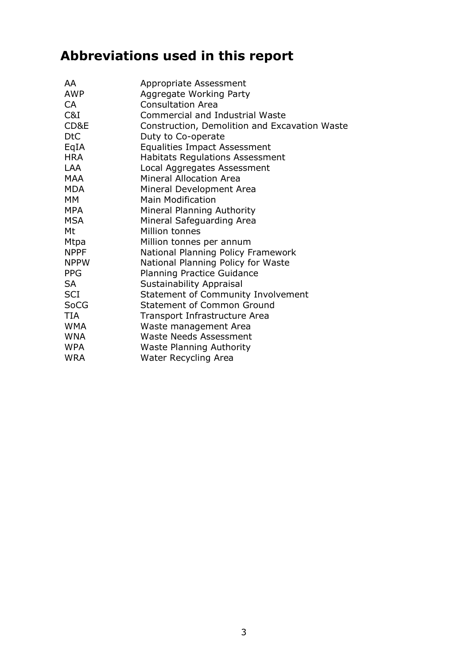# **Abbreviations used in this report**

| Appropriate Assessment                        |
|-----------------------------------------------|
| Aggregate Working Party                       |
| <b>Consultation Area</b>                      |
| <b>Commercial and Industrial Waste</b>        |
| Construction, Demolition and Excavation Waste |
| Duty to Co-operate                            |
| <b>Equalities Impact Assessment</b>           |
| <b>Habitats Regulations Assessment</b>        |
| Local Aggregates Assessment                   |
| Mineral Allocation Area                       |
| Mineral Development Area                      |
| Main Modification                             |
| Mineral Planning Authority                    |
| Mineral Safeguarding Area                     |
| Million tonnes                                |
| Million tonnes per annum                      |
| National Planning Policy Framework            |
| National Planning Policy for Waste            |
| <b>Planning Practice Guidance</b>             |
| Sustainability Appraisal                      |
| Statement of Community Involvement            |
| <b>Statement of Common Ground</b>             |
| Transport Infrastructure Area                 |
| Waste management Area                         |
| <b>Waste Needs Assessment</b>                 |
| <b>Waste Planning Authority</b>               |
| <b>Water Recycling Area</b>                   |
|                                               |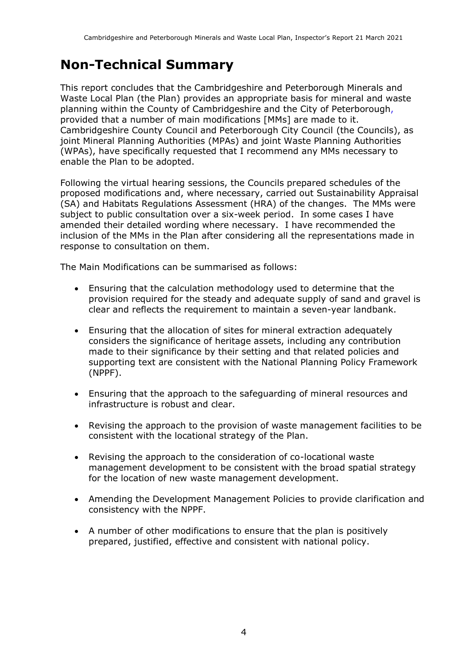## **Non-Technical Summary**

This report concludes that the Cambridgeshire and Peterborough Minerals and Waste Local Plan (the Plan) provides an appropriate basis for mineral and waste planning within the County of Cambridgeshire and the City of Peterborough, provided that a number of main modifications [MMs] are made to it. Cambridgeshire County Council and Peterborough City Council (the Councils), as joint Mineral Planning Authorities (MPAs) and joint Waste Planning Authorities (WPAs), have specifically requested that I recommend any MMs necessary to enable the Plan to be adopted.

Following the virtual hearing sessions, the Councils prepared schedules of the proposed modifications and, where necessary, carried out Sustainability Appraisal (SA) and Habitats Regulations Assessment (HRA) of the changes. The MMs were subject to public consultation over a six-week period. In some cases I have amended their detailed wording where necessary. I have recommended the inclusion of the MMs in the Plan after considering all the representations made in response to consultation on them.

The Main Modifications can be summarised as follows:

- Ensuring that the calculation methodology used to determine that the provision required for the steady and adequate supply of sand and gravel is clear and reflects the requirement to maintain a seven-year landbank.
- Ensuring that the allocation of sites for mineral extraction adequately considers the significance of heritage assets, including any contribution made to their significance by their setting and that related policies and supporting text are consistent with the National Planning Policy Framework (NPPF).
- Ensuring that the approach to the safeguarding of mineral resources and infrastructure is robust and clear.
- Revising the approach to the provision of waste management facilities to be consistent with the locational strategy of the Plan.
- Revising the approach to the consideration of co-locational waste management development to be consistent with the broad spatial strategy for the location of new waste management development.
- Amending the Development Management Policies to provide clarification and consistency with the NPPF.
- A number of other modifications to ensure that the plan is positively prepared, justified, effective and consistent with national policy.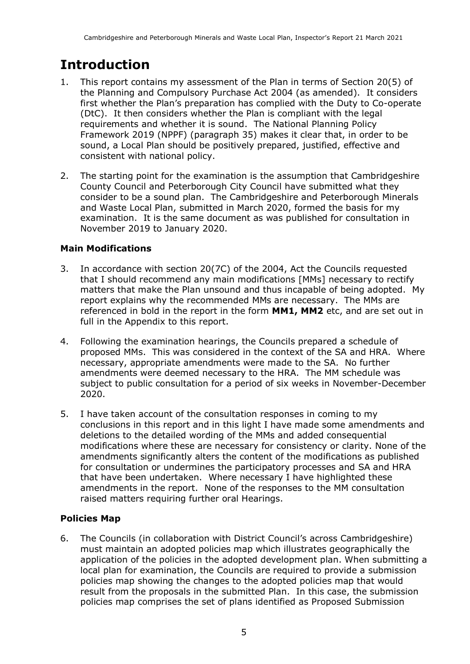# **Introduction**

- 1. This report contains my assessment of the Plan in terms of Section 20(5) of the Planning and Compulsory Purchase Act 2004 (as amended). It considers first whether the Plan's preparation has complied with the Duty to Co-operate (DtC). It then considers whether the Plan is compliant with the legal requirements and whether it is sound. The National Planning Policy Framework 2019 (NPPF) (paragraph 35) makes it clear that, in order to be sound, a Local Plan should be positively prepared, justified, effective and consistent with national policy.
- 2. The starting point for the examination is the assumption that Cambridgeshire County Council and Peterborough City Council have submitted what they consider to be a sound plan. The Cambridgeshire and Peterborough Minerals and Waste Local Plan, submitted in March 2020, formed the basis for my examination. It is the same document as was published for consultation in November 2019 to January 2020.

### **Main Modifications**

- 3. In accordance with section 20(7C) of the 2004, Act the Councils requested that I should recommend any main modifications [MMs] necessary to rectify matters that make the Plan unsound and thus incapable of being adopted. My report explains why the recommended MMs are necessary. The MMs are referenced in bold in the report in the form **MM1, MM2** etc, and are set out in full in the Appendix to this report.
- 4. Following the examination hearings, the Councils prepared a schedule of proposed MMs. This was considered in the context of the SA and HRA. Where necessary, appropriate amendments were made to the SA. No further amendments were deemed necessary to the HRA. The MM schedule was subject to public consultation for a period of six weeks in November-December 2020.
- 5. I have taken account of the consultation responses in coming to my conclusions in this report and in this light I have made some amendments and deletions to the detailed wording of the MMs and added consequential modifications where these are necessary for consistency or clarity. None of the amendments significantly alters the content of the modifications as published for consultation or undermines the participatory processes and SA and HRA that have been undertaken. Where necessary I have highlighted these amendments in the report. None of the responses to the MM consultation raised matters requiring further oral Hearings.

### **Policies Map**

6. The Councils (in collaboration with District Council's across Cambridgeshire) must maintain an adopted policies map which illustrates geographically the application of the policies in the adopted development plan. When submitting a local plan for examination, the Councils are required to provide a submission policies map showing the changes to the adopted policies map that would result from the proposals in the submitted Plan. In this case, the submission policies map comprises the set of plans identified as Proposed Submission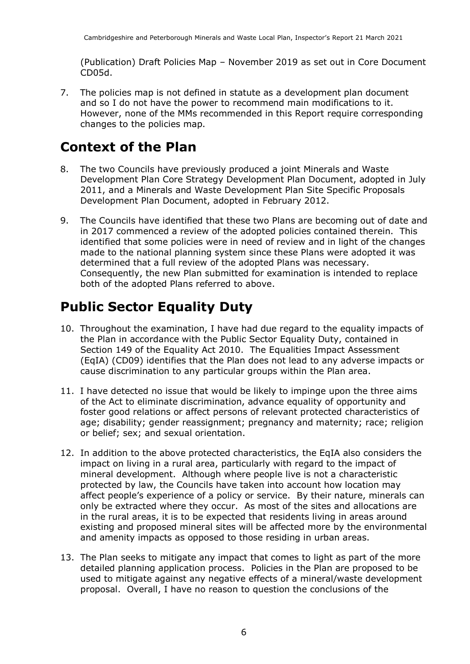(Publication) Draft Policies Map – November 2019 as set out in Core Document CD05d.

7. The policies map is not defined in statute as a development plan document and so I do not have the power to recommend main modifications to it. However, none of the MMs recommended in this Report require corresponding changes to the policies map.

## **Context of the Plan**

- 8. The two Councils have previously produced a joint Minerals and Waste Development Plan Core Strategy Development Plan Document, adopted in July 2011, and a Minerals and Waste Development Plan Site Specific Proposals Development Plan Document, adopted in February 2012.
- 9. The Councils have identified that these two Plans are becoming out of date and in 2017 commenced a review of the adopted policies contained therein. This identified that some policies were in need of review and in light of the changes made to the national planning system since these Plans were adopted it was determined that a full review of the adopted Plans was necessary. Consequently, the new Plan submitted for examination is intended to replace both of the adopted Plans referred to above.

# **Public Sector Equality Duty**

- 10. Throughout the examination, I have had due regard to the equality impacts of the Plan in accordance with the Public Sector Equality Duty, contained in Section 149 of the Equality Act 2010. The Equalities Impact Assessment (EqIA) (CD09) identifies that the Plan does not lead to any adverse impacts or cause discrimination to any particular groups within the Plan area.
- 11. I have detected no issue that would be likely to impinge upon the three aims of the Act to eliminate discrimination, advance equality of opportunity and foster good relations or affect persons of relevant protected characteristics of age; disability; gender reassignment; pregnancy and maternity; race; religion or belief; sex; and sexual orientation.
- 12. In addition to the above protected characteristics, the EqIA also considers the impact on living in a rural area, particularly with regard to the impact of mineral development. Although where people live is not a characteristic protected by law, the Councils have taken into account how location may affect people's experience of a policy or service. By their nature, minerals can only be extracted where they occur. As most of the sites and allocations are in the rural areas, it is to be expected that residents living in areas around existing and proposed mineral sites will be affected more by the environmental and amenity impacts as opposed to those residing in urban areas.
- 13. The Plan seeks to mitigate any impact that comes to light as part of the more detailed planning application process. Policies in the Plan are proposed to be used to mitigate against any negative effects of a mineral/waste development proposal. Overall, I have no reason to question the conclusions of the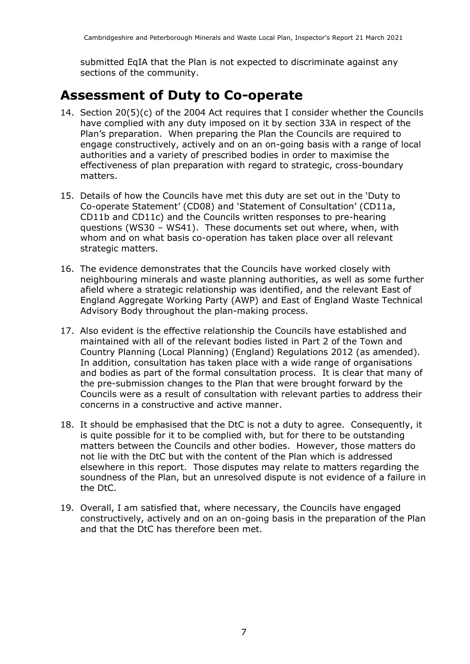submitted EqIA that the Plan is not expected to discriminate against any sections of the community.

### **Assessment of Duty to Co-operate**

- 14. Section 20(5)(c) of the 2004 Act requires that I consider whether the Councils have complied with any duty imposed on it by section 33A in respect of the Plan's preparation. When preparing the Plan the Councils are required to engage constructively, actively and on an on-going basis with a range of local authorities and a variety of prescribed bodies in order to maximise the effectiveness of plan preparation with regard to strategic, cross-boundary matters.
- 15. Details of how the Councils have met this duty are set out in the 'Duty to Co-operate Statement' (CD08) and 'Statement of Consultation' (CD11a, CD11b and CD11c) and the Councils written responses to pre-hearing questions (WS30 – WS41). These documents set out where, when, with whom and on what basis co-operation has taken place over all relevant strategic matters.
- 16. The evidence demonstrates that the Councils have worked closely with neighbouring minerals and waste planning authorities, as well as some further afield where a strategic relationship was identified, and the relevant East of England Aggregate Working Party (AWP) and East of England Waste Technical Advisory Body throughout the plan-making process.
- 17. Also evident is the effective relationship the Councils have established and maintained with all of the relevant bodies listed in Part 2 of the Town and Country Planning (Local Planning) (England) Regulations 2012 (as amended). In addition, consultation has taken place with a wide range of organisations and bodies as part of the formal consultation process. It is clear that many of the pre-submission changes to the Plan that were brought forward by the Councils were as a result of consultation with relevant parties to address their concerns in a constructive and active manner.
- 18. It should be emphasised that the DtC is not a duty to agree. Consequently, it is quite possible for it to be complied with, but for there to be outstanding matters between the Councils and other bodies. However, those matters do not lie with the DtC but with the content of the Plan which is addressed elsewhere in this report. Those disputes may relate to matters regarding the soundness of the Plan, but an unresolved dispute is not evidence of a failure in the DtC.
- 19. Overall, I am satisfied that, where necessary, the Councils have engaged constructively, actively and on an on-going basis in the preparation of the Plan and that the DtC has therefore been met.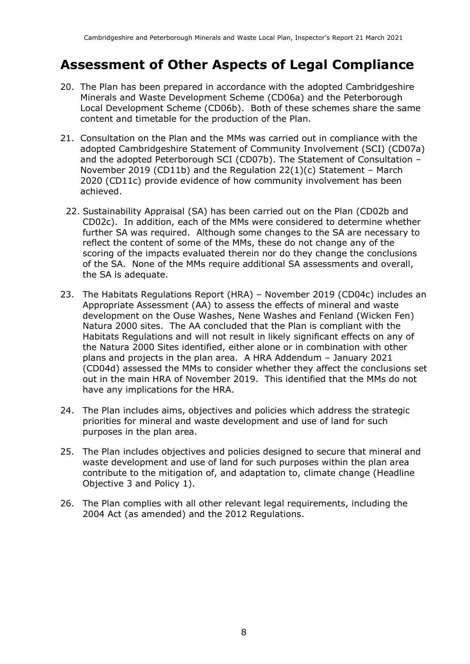### **Assessment of Other Aspects of Legal Compliance**

- 20. The Plan has been prepared in accordance with the adopted Cambridgeshire Minerals and Waste Development Scheme (CD06a) and the Peterborough Local Development Scheme (CD06b). Both of these schemes share the same content and timetable for the production of the Plan.
- 21. Consultation on the Plan and the MMs was carried out in compliance with the adopted Cambridgeshire Statement of Community Involvement (SCI) (CD07a) and the adopted Peterborough SCI (CD07b). The Statement of Consultation – November 2019 (CD11b) and the Regulation 22(1)(c) Statement – March 2020 (CD11c) provide evidence of how community involvement has been achieved.
	- 22. Sustainability Appraisal (SA) has been carried out on the Plan (CD02b and CD02c). In addition, each of the MMs were considered to determine whether further SA was required. Although some changes to the SA are necessary to reflect the content of some of the MMs, these do not change any of the scoring of the impacts evaluated therein nor do they change the conclusions of the SA. None of the MMs require additional SA assessments and overall, the SA is adequate.
- 23. The Habitats Regulations Report (HRA) November 2019 (CD04c) includes an Appropriate Assessment (AA) to assess the effects of mineral and waste development on the Ouse Washes, Nene Washes and Fenland (Wicken Fen) Natura 2000 sites. The AA concluded that the Plan is compliant with the Habitats Regulations and will not result in likely significant effects on any of the Natura 2000 Sites identified, either alone or in combination with other plans and projects in the plan area. A HRA Addendum – January 2021 (CD04d) assessed the MMs to consider whether they affect the conclusions set out in the main HRA of November 2019. This identified that the MMs do not have any implications for the HRA.
- 24. The Plan includes aims, objectives and policies which address the strategic priorities for mineral and waste development and use of land for such purposes in the plan area.
- 25. The Plan includes objectives and policies designed to secure that mineral and waste development and use of land for such purposes within the plan area contribute to the mitigation of, and adaptation to, climate change (Headline Objective 3 and Policy 1).
- 26. The Plan complies with all other relevant legal requirements, including the 2004 Act (as amended) and the 2012 Regulations.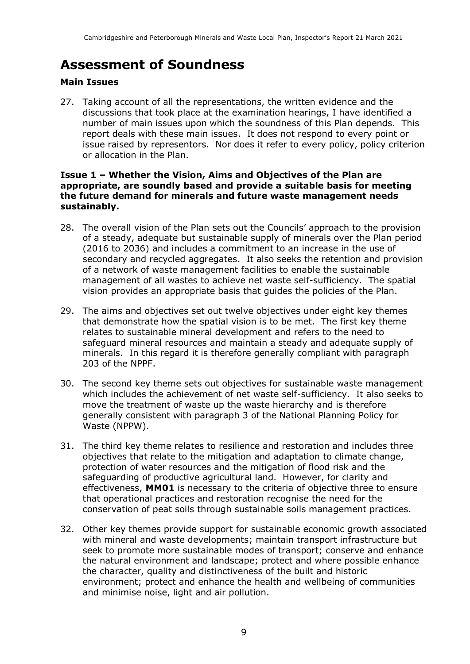### **Assessment of Soundness**

#### **Main Issues**

27. Taking account of all the representations, the written evidence and the discussions that took place at the examination hearings, I have identified a number of main issues upon which the soundness of this Plan depends. This report deals with these main issues. It does not respond to every point or issue raised by representors. Nor does it refer to every policy, policy criterion or allocation in the Plan.

#### **Issue 1 – Whether the Vision, Aims and Objectives of the Plan are appropriate, are soundly based and provide a suitable basis for meeting the future demand for minerals and future waste management needs sustainably.**

- 28. The overall vision of the Plan sets out the Councils' approach to the provision of a steady, adequate but sustainable supply of minerals over the Plan period (2016 to 2036) and includes a commitment to an increase in the use of secondary and recycled aggregates. It also seeks the retention and provision of a network of waste management facilities to enable the sustainable management of all wastes to achieve net waste self-sufficiency. The spatial vision provides an appropriate basis that guides the policies of the Plan.
- 29. The aims and objectives set out twelve objectives under eight key themes that demonstrate how the spatial vision is to be met. The first key theme relates to sustainable mineral development and refers to the need to safeguard mineral resources and maintain a steady and adequate supply of minerals. In this regard it is therefore generally compliant with paragraph 203 of the NPPF.
- 30. The second key theme sets out objectives for sustainable waste management which includes the achievement of net waste self-sufficiency. It also seeks to move the treatment of waste up the waste hierarchy and is therefore generally consistent with paragraph 3 of the National Planning Policy for Waste (NPPW).
- 31. The third key theme relates to resilience and restoration and includes three objectives that relate to the mitigation and adaptation to climate change, protection of water resources and the mitigation of flood risk and the safeguarding of productive agricultural land. However, for clarity and effectiveness, **MM01** is necessary to the criteria of objective three to ensure that operational practices and restoration recognise the need for the conservation of peat soils through sustainable soils management practices.
- 32. Other key themes provide support for sustainable economic growth associated with mineral and waste developments; maintain transport infrastructure but seek to promote more sustainable modes of transport; conserve and enhance the natural environment and landscape; protect and where possible enhance the character, quality and distinctiveness of the built and historic environment; protect and enhance the health and wellbeing of communities and minimise noise, light and air pollution.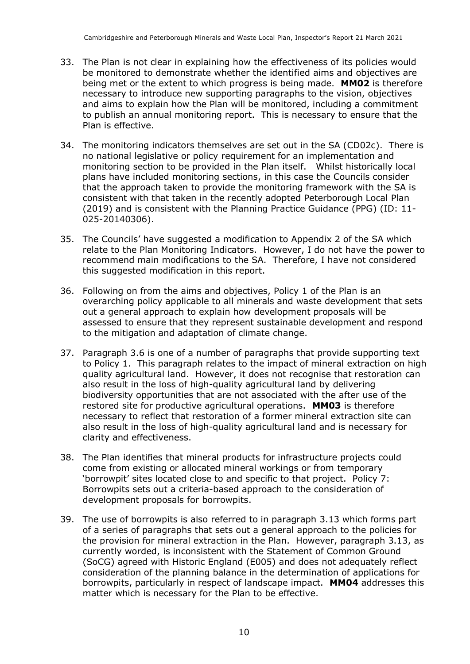- 33. The Plan is not clear in explaining how the effectiveness of its policies would be monitored to demonstrate whether the identified aims and objectives are being met or the extent to which progress is being made. **MM02** is therefore necessary to introduce new supporting paragraphs to the vision, objectives and aims to explain how the Plan will be monitored, including a commitment to publish an annual monitoring report. This is necessary to ensure that the Plan is effective.
- 34. The monitoring indicators themselves are set out in the SA (CD02c). There is no national legislative or policy requirement for an implementation and monitoring section to be provided in the Plan itself. Whilst historically local plans have included monitoring sections, in this case the Councils consider that the approach taken to provide the monitoring framework with the SA is consistent with that taken in the recently adopted Peterborough Local Plan (2019) and is consistent with the Planning Practice Guidance (PPG) (ID: 11- 025-20140306).
- 35. The Councils' have suggested a modification to Appendix 2 of the SA which relate to the Plan Monitoring Indicators. However, I do not have the power to recommend main modifications to the SA. Therefore, I have not considered this suggested modification in this report.
- 36. Following on from the aims and objectives, Policy 1 of the Plan is an overarching policy applicable to all minerals and waste development that sets out a general approach to explain how development proposals will be assessed to ensure that they represent sustainable development and respond to the mitigation and adaptation of climate change.
- 37. Paragraph 3.6 is one of a number of paragraphs that provide supporting text to Policy 1. This paragraph relates to the impact of mineral extraction on high quality agricultural land. However, it does not recognise that restoration can also result in the loss of high-quality agricultural land by delivering biodiversity opportunities that are not associated with the after use of the restored site for productive agricultural operations. **MM03** is therefore necessary to reflect that restoration of a former mineral extraction site can also result in the loss of high-quality agricultural land and is necessary for clarity and effectiveness.
- 38. The Plan identifies that mineral products for infrastructure projects could come from existing or allocated mineral workings or from temporary 'borrowpit' sites located close to and specific to that project. Policy 7: Borrowpits sets out a criteria-based approach to the consideration of development proposals for borrowpits.
- 39. The use of borrowpits is also referred to in paragraph 3.13 which forms part of a series of paragraphs that sets out a general approach to the policies for the provision for mineral extraction in the Plan. However, paragraph 3.13, as currently worded, is inconsistent with the Statement of Common Ground (SoCG) agreed with Historic England (E005) and does not adequately reflect consideration of the planning balance in the determination of applications for borrowpits, particularly in respect of landscape impact. **MM04** addresses this matter which is necessary for the Plan to be effective.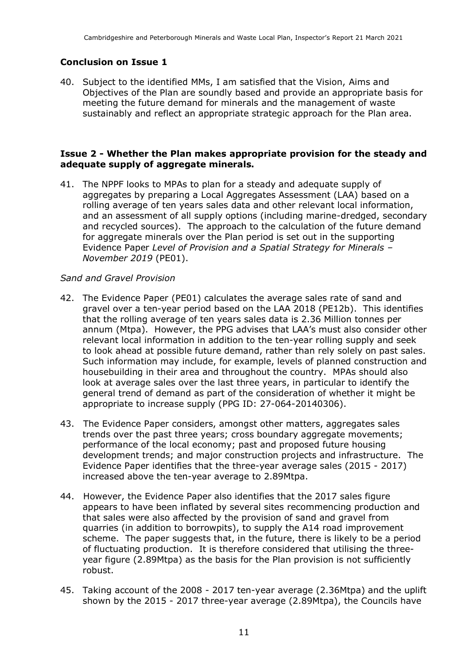#### **Conclusion on Issue 1**

40. Subject to the identified MMs, I am satisfied that the Vision, Aims and Objectives of the Plan are soundly based and provide an appropriate basis for meeting the future demand for minerals and the management of waste sustainably and reflect an appropriate strategic approach for the Plan area.

#### **Issue 2 - Whether the Plan makes appropriate provision for the steady and adequate supply of aggregate minerals.**

41. The NPPF looks to MPAs to plan for a steady and adequate supply of aggregates by preparing a Local Aggregates Assessment (LAA) based on a rolling average of ten years sales data and other relevant local information, and an assessment of all supply options (including marine-dredged, secondary and recycled sources). The approach to the calculation of the future demand for aggregate minerals over the Plan period is set out in the supporting Evidence Paper *Level of Provision and a Spatial Strategy for Minerals – November 2019* (PE01).

#### *Sand and Gravel Provision*

- 42. The Evidence Paper (PE01) calculates the average sales rate of sand and gravel over a ten-year period based on the LAA 2018 (PE12b). This identifies that the rolling average of ten years sales data is 2.36 Million tonnes per annum (Mtpa). However, the PPG advises that LAA's must also consider other relevant local information in addition to the ten-year rolling supply and seek to look ahead at possible future demand, rather than rely solely on past sales. Such information may include, for example, levels of planned construction and housebuilding in their area and throughout the country. MPAs should also look at average sales over the last three years, in particular to identify the general trend of demand as part of the consideration of whether it might be appropriate to increase supply (PPG ID: 27-064-20140306).
- 43. The Evidence Paper considers, amongst other matters, aggregates sales trends over the past three years; cross boundary aggregate movements; performance of the local economy; past and proposed future housing development trends; and major construction projects and infrastructure. The Evidence Paper identifies that the three-year average sales (2015 - 2017) increased above the ten-year average to 2.89Mtpa.
- 44. However, the Evidence Paper also identifies that the 2017 sales figure appears to have been inflated by several sites recommencing production and that sales were also affected by the provision of sand and gravel from quarries (in addition to borrowpits), to supply the A14 road improvement scheme. The paper suggests that, in the future, there is likely to be a period of fluctuating production. It is therefore considered that utilising the threeyear figure (2.89Mtpa) as the basis for the Plan provision is not sufficiently robust.
- 45. Taking account of the 2008 2017 ten-year average (2.36Mtpa) and the uplift shown by the 2015 - 2017 three-year average (2.89Mtpa), the Councils have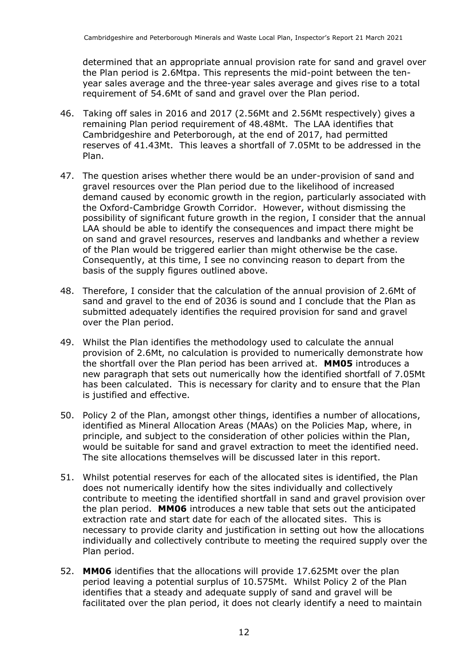determined that an appropriate annual provision rate for sand and gravel over the Plan period is 2.6Mtpa. This represents the mid-point between the tenyear sales average and the three-year sales average and gives rise to a total requirement of 54.6Mt of sand and gravel over the Plan period.

- 46. Taking off sales in 2016 and 2017 (2.56Mt and 2.56Mt respectively) gives a remaining Plan period requirement of 48.48Mt. The LAA identifies that Cambridgeshire and Peterborough, at the end of 2017, had permitted reserves of 41.43Mt. This leaves a shortfall of 7.05Mt to be addressed in the Plan.
- 47. The question arises whether there would be an under-provision of sand and gravel resources over the Plan period due to the likelihood of increased demand caused by economic growth in the region, particularly associated with the Oxford-Cambridge Growth Corridor. However, without dismissing the possibility of significant future growth in the region, I consider that the annual LAA should be able to identify the consequences and impact there might be on sand and gravel resources, reserves and landbanks and whether a review of the Plan would be triggered earlier than might otherwise be the case. Consequently, at this time, I see no convincing reason to depart from the basis of the supply figures outlined above.
- 48. Therefore, I consider that the calculation of the annual provision of 2.6Mt of sand and gravel to the end of 2036 is sound and I conclude that the Plan as submitted adequately identifies the required provision for sand and gravel over the Plan period.
- 49. Whilst the Plan identifies the methodology used to calculate the annual provision of 2.6Mt, no calculation is provided to numerically demonstrate how the shortfall over the Plan period has been arrived at. **MM05** introduces a new paragraph that sets out numerically how the identified shortfall of 7.05Mt has been calculated. This is necessary for clarity and to ensure that the Plan is justified and effective.
- 50. Policy 2 of the Plan, amongst other things, identifies a number of allocations, identified as Mineral Allocation Areas (MAAs) on the Policies Map, where, in principle, and subject to the consideration of other policies within the Plan, would be suitable for sand and gravel extraction to meet the identified need. The site allocations themselves will be discussed later in this report.
- 51. Whilst potential reserves for each of the allocated sites is identified, the Plan does not numerically identify how the sites individually and collectively contribute to meeting the identified shortfall in sand and gravel provision over the plan period. **MM06** introduces a new table that sets out the anticipated extraction rate and start date for each of the allocated sites. This is necessary to provide clarity and justification in setting out how the allocations individually and collectively contribute to meeting the required supply over the Plan period.
- 52. **MM06** identifies that the allocations will provide 17.625Mt over the plan period leaving a potential surplus of 10.575Mt. Whilst Policy 2 of the Plan identifies that a steady and adequate supply of sand and gravel will be facilitated over the plan period, it does not clearly identify a need to maintain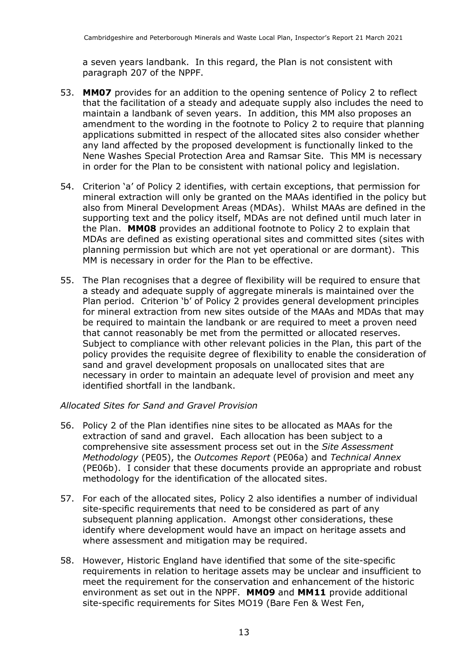a seven years landbank. In this regard, the Plan is not consistent with paragraph 207 of the NPPF.

- 53. **MM07** provides for an addition to the opening sentence of Policy 2 to reflect that the facilitation of a steady and adequate supply also includes the need to maintain a landbank of seven years. In addition, this MM also proposes an amendment to the wording in the footnote to Policy 2 to require that planning applications submitted in respect of the allocated sites also consider whether any land affected by the proposed development is functionally linked to the Nene Washes Special Protection Area and Ramsar Site. This MM is necessary in order for the Plan to be consistent with national policy and legislation.
- 54. Criterion 'a' of Policy 2 identifies, with certain exceptions, that permission for mineral extraction will only be granted on the MAAs identified in the policy but also from Mineral Development Areas (MDAs). Whilst MAAs are defined in the supporting text and the policy itself, MDAs are not defined until much later in the Plan. **MM08** provides an additional footnote to Policy 2 to explain that MDAs are defined as existing operational sites and committed sites (sites with planning permission but which are not yet operational or are dormant). This MM is necessary in order for the Plan to be effective.
- 55. The Plan recognises that a degree of flexibility will be required to ensure that a steady and adequate supply of aggregate minerals is maintained over the Plan period. Criterion 'b' of Policy 2 provides general development principles for mineral extraction from new sites outside of the MAAs and MDAs that may be required to maintain the landbank or are required to meet a proven need that cannot reasonably be met from the permitted or allocated reserves. Subject to compliance with other relevant policies in the Plan, this part of the policy provides the requisite degree of flexibility to enable the consideration of sand and gravel development proposals on unallocated sites that are necessary in order to maintain an adequate level of provision and meet any identified shortfall in the landbank.

#### *Allocated Sites for Sand and Gravel Provision*

- 56. Policy 2 of the Plan identifies nine sites to be allocated as MAAs for the extraction of sand and gravel. Each allocation has been subject to a comprehensive site assessment process set out in the *Site Assessment Methodology* (PE05), the *Outcomes Report* (PE06a) and *Technical Annex* (PE06b). I consider that these documents provide an appropriate and robust methodology for the identification of the allocated sites.
- 57. For each of the allocated sites, Policy 2 also identifies a number of individual site-specific requirements that need to be considered as part of any subsequent planning application. Amongst other considerations, these identify where development would have an impact on heritage assets and where assessment and mitigation may be required.
- 58. However, Historic England have identified that some of the site-specific requirements in relation to heritage assets may be unclear and insufficient to meet the requirement for the conservation and enhancement of the historic environment as set out in the NPPF. **MM09** and **MM11** provide additional site-specific requirements for Sites MO19 (Bare Fen & West Fen,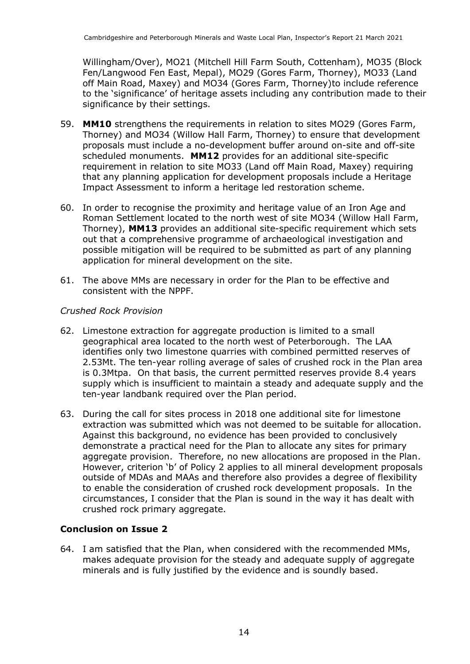Willingham/Over), MO21 (Mitchell Hill Farm South, Cottenham), MO35 (Block Fen/Langwood Fen East, Mepal), MO29 (Gores Farm, Thorney), MO33 (Land off Main Road, Maxey) and MO34 (Gores Farm, Thorney)to include reference to the 'significance' of heritage assets including any contribution made to their significance by their settings.

- 59. **MM10** strengthens the requirements in relation to sites MO29 (Gores Farm, Thorney) and MO34 (Willow Hall Farm, Thorney) to ensure that development proposals must include a no-development buffer around on-site and off-site scheduled monuments. **MM12** provides for an additional site-specific requirement in relation to site MO33 (Land off Main Road, Maxey) requiring that any planning application for development proposals include a Heritage Impact Assessment to inform a heritage led restoration scheme.
- 60. In order to recognise the proximity and heritage value of an Iron Age and Roman Settlement located to the north west of site MO34 (Willow Hall Farm, Thorney), **MM13** provides an additional site-specific requirement which sets out that a comprehensive programme of archaeological investigation and possible mitigation will be required to be submitted as part of any planning application for mineral development on the site.
- 61. The above MMs are necessary in order for the Plan to be effective and consistent with the NPPF.

#### *Crushed Rock Provision*

- 62. Limestone extraction for aggregate production is limited to a small geographical area located to the north west of Peterborough. The LAA identifies only two limestone quarries with combined permitted reserves of 2.53Mt. The ten-year rolling average of sales of crushed rock in the Plan area is 0.3Mtpa. On that basis, the current permitted reserves provide 8.4 years supply which is insufficient to maintain a steady and adequate supply and the ten-year landbank required over the Plan period.
- 63. During the call for sites process in 2018 one additional site for limestone extraction was submitted which was not deemed to be suitable for allocation. Against this background, no evidence has been provided to conclusively demonstrate a practical need for the Plan to allocate any sites for primary aggregate provision. Therefore, no new allocations are proposed in the Plan. However, criterion 'b' of Policy 2 applies to all mineral development proposals outside of MDAs and MAAs and therefore also provides a degree of flexibility to enable the consideration of crushed rock development proposals. In the circumstances, I consider that the Plan is sound in the way it has dealt with crushed rock primary aggregate.

#### **Conclusion on Issue 2**

64. I am satisfied that the Plan, when considered with the recommended MMs, makes adequate provision for the steady and adequate supply of aggregate minerals and is fully justified by the evidence and is soundly based.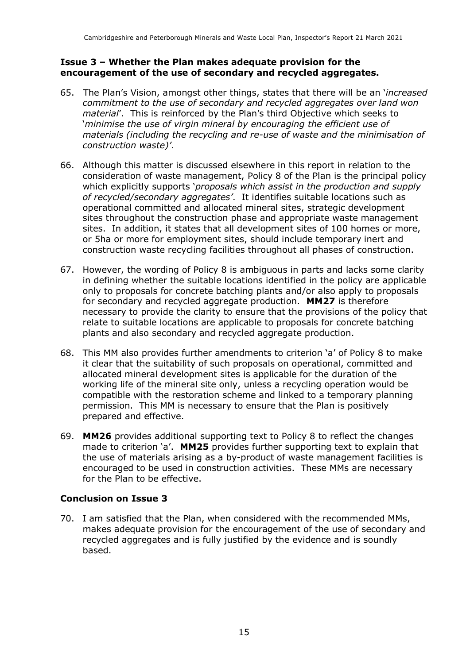#### **Issue 3 – Whether the Plan makes adequate provision for the encouragement of the use of secondary and recycled aggregates.**

- 65. The Plan's Vision, amongst other things, states that there will be an '*increased commitment to the use of secondary and recycled aggregates over land won material*'. This is reinforced by the Plan's third Objective which seeks to '*minimise the use of virgin mineral by encouraging the efficient use of materials (including the recycling and re-use of waste and the minimisation of construction waste)'*.
- 66. Although this matter is discussed elsewhere in this report in relation to the consideration of waste management, Policy 8 of the Plan is the principal policy which explicitly supports '*proposals which assist in the production and supply of recycled/secondary aggregates'*. It identifies suitable locations such as operational committed and allocated mineral sites, strategic development sites throughout the construction phase and appropriate waste management sites. In addition, it states that all development sites of 100 homes or more, or 5ha or more for employment sites, should include temporary inert and construction waste recycling facilities throughout all phases of construction.
- 67. However, the wording of Policy 8 is ambiguous in parts and lacks some clarity in defining whether the suitable locations identified in the policy are applicable only to proposals for concrete batching plants and/or also apply to proposals for secondary and recycled aggregate production. **MM27** is therefore necessary to provide the clarity to ensure that the provisions of the policy that relate to suitable locations are applicable to proposals for concrete batching plants and also secondary and recycled aggregate production.
- 68. This MM also provides further amendments to criterion 'a' of Policy 8 to make it clear that the suitability of such proposals on operational, committed and allocated mineral development sites is applicable for the duration of the working life of the mineral site only, unless a recycling operation would be compatible with the restoration scheme and linked to a temporary planning permission. This MM is necessary to ensure that the Plan is positively prepared and effective.
- 69. **MM26** provides additional supporting text to Policy 8 to reflect the changes made to criterion 'a'. **MM25** provides further supporting text to explain that the use of materials arising as a by-product of waste management facilities is encouraged to be used in construction activities. These MMs are necessary for the Plan to be effective.

### **Conclusion on Issue 3**

70. I am satisfied that the Plan, when considered with the recommended MMs, makes adequate provision for the encouragement of the use of secondary and recycled aggregates and is fully justified by the evidence and is soundly based.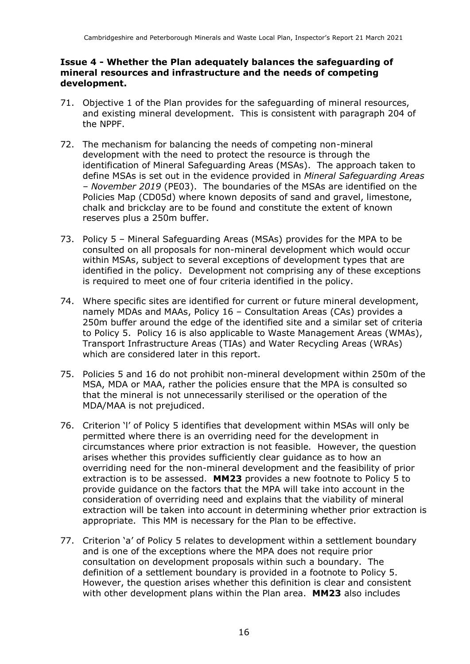#### **Issue 4 - Whether the Plan adequately balances the safeguarding of mineral resources and infrastructure and the needs of competing development.**

- 71. Objective 1 of the Plan provides for the safeguarding of mineral resources, and existing mineral development. This is consistent with paragraph 204 of the NPPF.
- 72. The mechanism for balancing the needs of competing non-mineral development with the need to protect the resource is through the identification of Mineral Safeguarding Areas (MSAs). The approach taken to define MSAs is set out in the evidence provided in *Mineral Safeguarding Areas – November 2019* (PE03). The boundaries of the MSAs are identified on the Policies Map (CD05d) where known deposits of sand and gravel, limestone, chalk and brickclay are to be found and constitute the extent of known reserves plus a 250m buffer.
- 73. Policy 5 Mineral Safeguarding Areas (MSAs) provides for the MPA to be consulted on all proposals for non-mineral development which would occur within MSAs, subject to several exceptions of development types that are identified in the policy. Development not comprising any of these exceptions is required to meet one of four criteria identified in the policy.
- 74. Where specific sites are identified for current or future mineral development, namely MDAs and MAAs, Policy 16 – Consultation Areas (CAs) provides a 250m buffer around the edge of the identified site and a similar set of criteria to Policy 5. Policy 16 is also applicable to Waste Management Areas (WMAs), Transport Infrastructure Areas (TIAs) and Water Recycling Areas (WRAs) which are considered later in this report.
- 75. Policies 5 and 16 do not prohibit non-mineral development within 250m of the MSA, MDA or MAA, rather the policies ensure that the MPA is consulted so that the mineral is not unnecessarily sterilised or the operation of the MDA/MAA is not prejudiced.
- 76. Criterion 'l' of Policy 5 identifies that development within MSAs will only be permitted where there is an overriding need for the development in circumstances where prior extraction is not feasible. However, the question arises whether this provides sufficiently clear guidance as to how an overriding need for the non-mineral development and the feasibility of prior extraction is to be assessed. **MM23** provides a new footnote to Policy 5 to provide guidance on the factors that the MPA will take into account in the consideration of overriding need and explains that the viability of mineral extraction will be taken into account in determining whether prior extraction is appropriate. This MM is necessary for the Plan to be effective.
- 77. Criterion 'a' of Policy 5 relates to development within a settlement boundary and is one of the exceptions where the MPA does not require prior consultation on development proposals within such a boundary. The definition of a settlement boundary is provided in a footnote to Policy 5. However, the question arises whether this definition is clear and consistent with other development plans within the Plan area. **MM23** also includes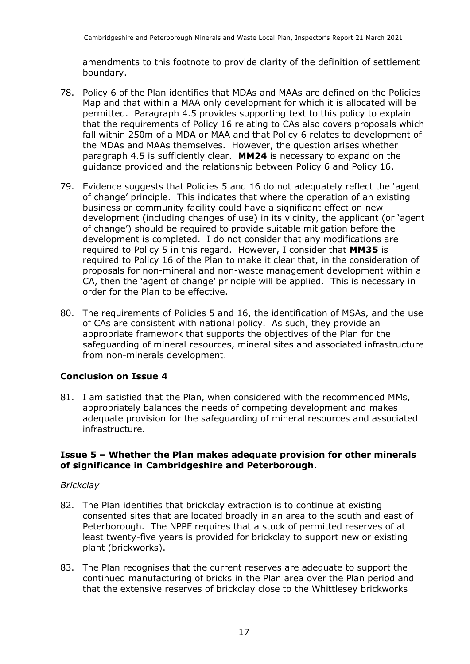amendments to this footnote to provide clarity of the definition of settlement boundary.

- 78. Policy 6 of the Plan identifies that MDAs and MAAs are defined on the Policies Map and that within a MAA only development for which it is allocated will be permitted. Paragraph 4.5 provides supporting text to this policy to explain that the requirements of Policy 16 relating to CAs also covers proposals which fall within 250m of a MDA or MAA and that Policy 6 relates to development of the MDAs and MAAs themselves. However, the question arises whether paragraph 4.5 is sufficiently clear. **MM24** is necessary to expand on the guidance provided and the relationship between Policy 6 and Policy 16.
- 79. Evidence suggests that Policies 5 and 16 do not adequately reflect the 'agent of change' principle. This indicates that where the operation of an existing business or community facility could have a significant effect on new development (including changes of use) in its vicinity, the applicant (or 'agent of change') should be required to provide suitable mitigation before the development is completed. I do not consider that any modifications are required to Policy 5 in this regard. However, I consider that **MM35** is required to Policy 16 of the Plan to make it clear that, in the consideration of proposals for non-mineral and non-waste management development within a CA, then the 'agent of change' principle will be applied. This is necessary in order for the Plan to be effective.
- 80. The requirements of Policies 5 and 16, the identification of MSAs, and the use of CAs are consistent with national policy. As such, they provide an appropriate framework that supports the objectives of the Plan for the safeguarding of mineral resources, mineral sites and associated infrastructure from non-minerals development.

### **Conclusion on Issue 4**

81. I am satisfied that the Plan, when considered with the recommended MMs, appropriately balances the needs of competing development and makes adequate provision for the safeguarding of mineral resources and associated infrastructure.

#### **Issue 5 – Whether the Plan makes adequate provision for other minerals of significance in Cambridgeshire and Peterborough.**

#### *Brickclay*

- 82. The Plan identifies that brickclay extraction is to continue at existing consented sites that are located broadly in an area to the south and east of Peterborough. The NPPF requires that a stock of permitted reserves of at least twenty-five years is provided for brickclay to support new or existing plant (brickworks).
- 83. The Plan recognises that the current reserves are adequate to support the continued manufacturing of bricks in the Plan area over the Plan period and that the extensive reserves of brickclay close to the Whittlesey brickworks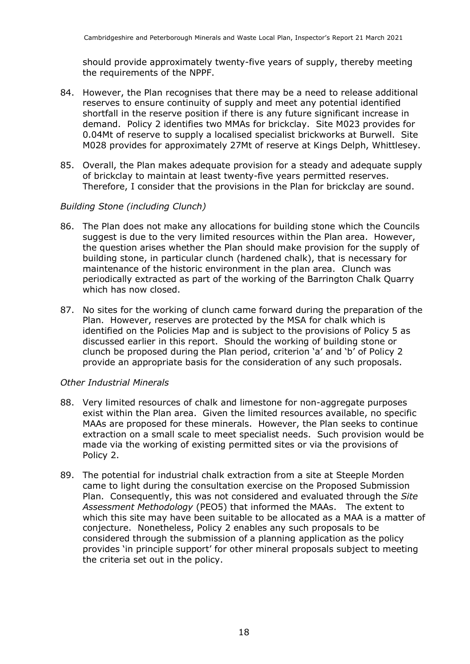should provide approximately twenty-five years of supply, thereby meeting the requirements of the NPPF.

- 84. However, the Plan recognises that there may be a need to release additional reserves to ensure continuity of supply and meet any potential identified shortfall in the reserve position if there is any future significant increase in demand. Policy 2 identifies two MMAs for brickclay. Site M023 provides for 0.04Mt of reserve to supply a localised specialist brickworks at Burwell. Site M028 provides for approximately 27Mt of reserve at Kings Delph, Whittlesey.
- 85. Overall, the Plan makes adequate provision for a steady and adequate supply of brickclay to maintain at least twenty-five years permitted reserves. Therefore, I consider that the provisions in the Plan for brickclay are sound.

#### *Building Stone (including Clunch)*

- 86. The Plan does not make any allocations for building stone which the Councils suggest is due to the very limited resources within the Plan area. However, the question arises whether the Plan should make provision for the supply of building stone, in particular clunch (hardened chalk), that is necessary for maintenance of the historic environment in the plan area. Clunch was periodically extracted as part of the working of the Barrington Chalk Quarry which has now closed.
- 87. No sites for the working of clunch came forward during the preparation of the Plan. However, reserves are protected by the MSA for chalk which is identified on the Policies Map and is subject to the provisions of Policy 5 as discussed earlier in this report. Should the working of building stone or clunch be proposed during the Plan period, criterion 'a' and 'b' of Policy 2 provide an appropriate basis for the consideration of any such proposals.

#### *Other Industrial Minerals*

- 88. Very limited resources of chalk and limestone for non-aggregate purposes exist within the Plan area. Given the limited resources available, no specific MAAs are proposed for these minerals. However, the Plan seeks to continue extraction on a small scale to meet specialist needs. Such provision would be made via the working of existing permitted sites or via the provisions of Policy 2.
- 89. The potential for industrial chalk extraction from a site at Steeple Morden came to light during the consultation exercise on the Proposed Submission Plan. Consequently, this was not considered and evaluated through the *Site Assessment Methodology* (PEO5) that informed the MAAs. The extent to which this site may have been suitable to be allocated as a MAA is a matter of conjecture. Nonetheless, Policy 2 enables any such proposals to be considered through the submission of a planning application as the policy provides 'in principle support' for other mineral proposals subject to meeting the criteria set out in the policy.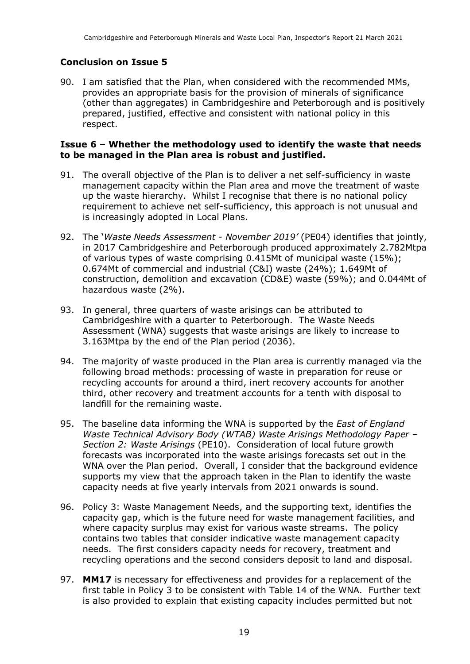#### **Conclusion on Issue 5**

90. I am satisfied that the Plan, when considered with the recommended MMs, provides an appropriate basis for the provision of minerals of significance (other than aggregates) in Cambridgeshire and Peterborough and is positively prepared, justified, effective and consistent with national policy in this respect.

#### **Issue 6 – Whether the methodology used to identify the waste that needs to be managed in the Plan area is robust and justified.**

- 91. The overall objective of the Plan is to deliver a net self-sufficiency in waste management capacity within the Plan area and move the treatment of waste up the waste hierarchy. Whilst I recognise that there is no national policy requirement to achieve net self-sufficiency, this approach is not unusual and is increasingly adopted in Local Plans.
- 92. The '*Waste Needs Assessment - November 2019'* (PE04) identifies that jointly, in 2017 Cambridgeshire and Peterborough produced approximately 2.782Mtpa of various types of waste comprising 0.415Mt of municipal waste (15%); 0.674Mt of commercial and industrial (C&I) waste (24%); 1.649Mt of construction, demolition and excavation (CD&E) waste (59%); and 0.044Mt of hazardous waste (2%).
- 93. In general, three quarters of waste arisings can be attributed to Cambridgeshire with a quarter to Peterborough. The Waste Needs Assessment (WNA) suggests that waste arisings are likely to increase to 3.163Mtpa by the end of the Plan period (2036).
- 94. The majority of waste produced in the Plan area is currently managed via the following broad methods: processing of waste in preparation for reuse or recycling accounts for around a third, inert recovery accounts for another third, other recovery and treatment accounts for a tenth with disposal to landfill for the remaining waste.
- 95. The baseline data informing the WNA is supported by the *East of England Waste Technical Advisory Body (WTAB) Waste Arisings Methodology Paper – Section 2: Waste Arisings* (PE10). Consideration of local future growth forecasts was incorporated into the waste arisings forecasts set out in the WNA over the Plan period. Overall, I consider that the background evidence supports my view that the approach taken in the Plan to identify the waste capacity needs at five yearly intervals from 2021 onwards is sound.
- 96. Policy 3: Waste Management Needs, and the supporting text, identifies the capacity gap, which is the future need for waste management facilities, and where capacity surplus may exist for various waste streams. The policy contains two tables that consider indicative waste management capacity needs. The first considers capacity needs for recovery, treatment and recycling operations and the second considers deposit to land and disposal.
- 97. **MM17** is necessary for effectiveness and provides for a replacement of the first table in Policy 3 to be consistent with Table 14 of the WNA. Further text is also provided to explain that existing capacity includes permitted but not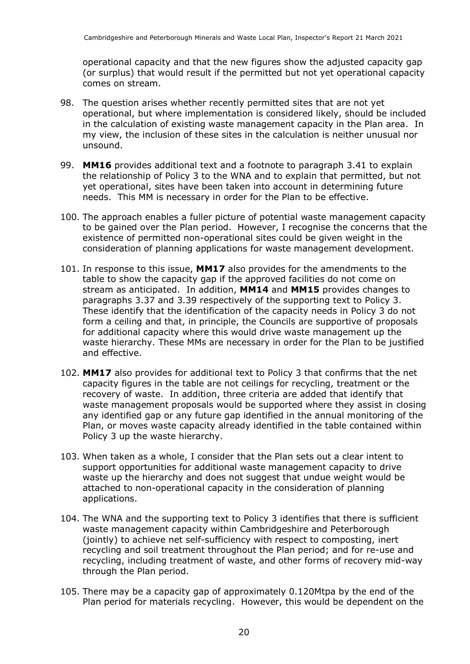operational capacity and that the new figures show the adjusted capacity gap (or surplus) that would result if the permitted but not yet operational capacity comes on stream.

- 98. The question arises whether recently permitted sites that are not yet operational, but where implementation is considered likely, should be included in the calculation of existing waste management capacity in the Plan area. In my view, the inclusion of these sites in the calculation is neither unusual nor unsound.
- 99. **MM16** provides additional text and a footnote to paragraph 3.41 to explain the relationship of Policy 3 to the WNA and to explain that permitted, but not yet operational, sites have been taken into account in determining future needs. This MM is necessary in order for the Plan to be effective.
- 100. The approach enables a fuller picture of potential waste management capacity to be gained over the Plan period. However, I recognise the concerns that the existence of permitted non-operational sites could be given weight in the consideration of planning applications for waste management development.
- 101. In response to this issue, **MM17** also provides for the amendments to the table to show the capacity gap if the approved facilities do not come on stream as anticipated. In addition, **MM14** and **MM15** provides changes to paragraphs 3.37 and 3.39 respectively of the supporting text to Policy 3. These identify that the identification of the capacity needs in Policy 3 do not form a ceiling and that, in principle, the Councils are supportive of proposals for additional capacity where this would drive waste management up the waste hierarchy. These MMs are necessary in order for the Plan to be justified and effective.
- 102. **MM17** also provides for additional text to Policy 3 that confirms that the net capacity figures in the table are not ceilings for recycling, treatment or the recovery of waste. In addition, three criteria are added that identify that waste management proposals would be supported where they assist in closing any identified gap or any future gap identified in the annual monitoring of the Plan, or moves waste capacity already identified in the table contained within Policy 3 up the waste hierarchy.
- 103. When taken as a whole, I consider that the Plan sets out a clear intent to support opportunities for additional waste management capacity to drive waste up the hierarchy and does not suggest that undue weight would be attached to non-operational capacity in the consideration of planning applications.
- 104. The WNA and the supporting text to Policy 3 identifies that there is sufficient waste management capacity within Cambridgeshire and Peterborough (jointly) to achieve net self-sufficiency with respect to composting, inert recycling and soil treatment throughout the Plan period; and for re-use and recycling, including treatment of waste, and other forms of recovery mid-way through the Plan period.
- 105. There may be a capacity gap of approximately 0.120Mtpa by the end of the Plan period for materials recycling. However, this would be dependent on the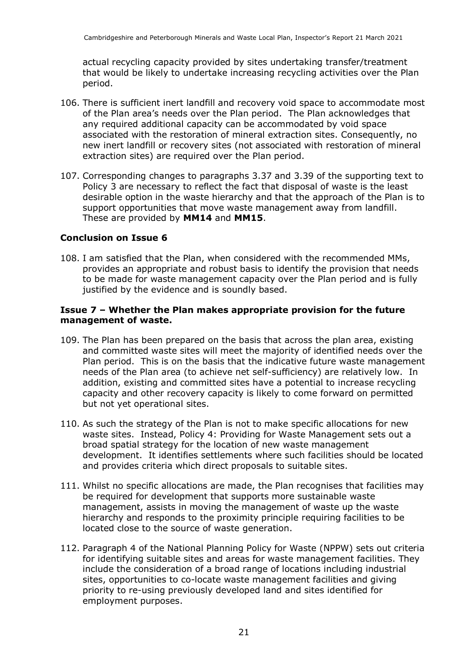actual recycling capacity provided by sites undertaking transfer/treatment that would be likely to undertake increasing recycling activities over the Plan period.

- 106. There is sufficient inert landfill and recovery void space to accommodate most of the Plan area's needs over the Plan period. The Plan acknowledges that any required additional capacity can be accommodated by void space associated with the restoration of mineral extraction sites. Consequently, no new inert landfill or recovery sites (not associated with restoration of mineral extraction sites) are required over the Plan period.
- 107. Corresponding changes to paragraphs 3.37 and 3.39 of the supporting text to Policy 3 are necessary to reflect the fact that disposal of waste is the least desirable option in the waste hierarchy and that the approach of the Plan is to support opportunities that move waste management away from landfill. These are provided by **MM14** and **MM15**.

#### **Conclusion on Issue 6**

108. I am satisfied that the Plan, when considered with the recommended MMs, provides an appropriate and robust basis to identify the provision that needs to be made for waste management capacity over the Plan period and is fully justified by the evidence and is soundly based.

#### **Issue 7 – Whether the Plan makes appropriate provision for the future management of waste.**

- 109. The Plan has been prepared on the basis that across the plan area, existing and committed waste sites will meet the majority of identified needs over the Plan period. This is on the basis that the indicative future waste management needs of the Plan area (to achieve net self-sufficiency) are relatively low. In addition, existing and committed sites have a potential to increase recycling capacity and other recovery capacity is likely to come forward on permitted but not yet operational sites.
- 110. As such the strategy of the Plan is not to make specific allocations for new waste sites. Instead, Policy 4: Providing for Waste Management sets out a broad spatial strategy for the location of new waste management development. It identifies settlements where such facilities should be located and provides criteria which direct proposals to suitable sites.
- 111. Whilst no specific allocations are made, the Plan recognises that facilities may be required for development that supports more sustainable waste management, assists in moving the management of waste up the waste hierarchy and responds to the proximity principle requiring facilities to be located close to the source of waste generation.
- 112. Paragraph 4 of the National Planning Policy for Waste (NPPW) sets out criteria for identifying suitable sites and areas for waste management facilities. They include the consideration of a broad range of locations including industrial sites, opportunities to co-locate waste management facilities and giving priority to re-using previously developed land and sites identified for employment purposes.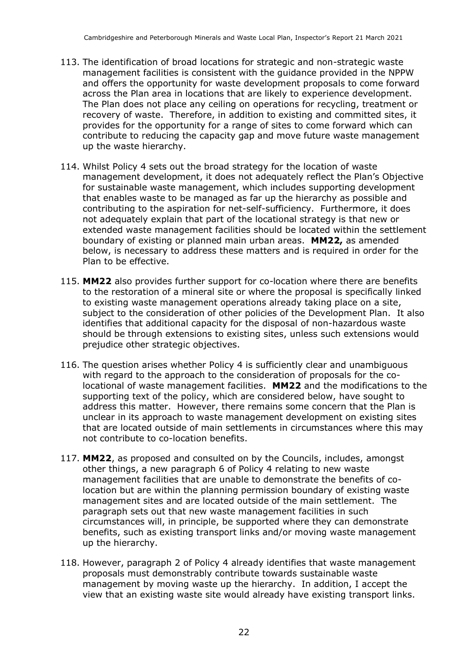- 113. The identification of broad locations for strategic and non-strategic waste management facilities is consistent with the guidance provided in the NPPW and offers the opportunity for waste development proposals to come forward across the Plan area in locations that are likely to experience development. The Plan does not place any ceiling on operations for recycling, treatment or recovery of waste. Therefore, in addition to existing and committed sites, it provides for the opportunity for a range of sites to come forward which can contribute to reducing the capacity gap and move future waste management up the waste hierarchy.
- 114. Whilst Policy 4 sets out the broad strategy for the location of waste management development, it does not adequately reflect the Plan's Objective for sustainable waste management, which includes supporting development that enables waste to be managed as far up the hierarchy as possible and contributing to the aspiration for net-self-sufficiency. Furthermore, it does not adequately explain that part of the locational strategy is that new or extended waste management facilities should be located within the settlement boundary of existing or planned main urban areas. **MM22,** as amended below, is necessary to address these matters and is required in order for the Plan to be effective.
- 115. **MM22** also provides further support for co-location where there are benefits to the restoration of a mineral site or where the proposal is specifically linked to existing waste management operations already taking place on a site, subject to the consideration of other policies of the Development Plan. It also identifies that additional capacity for the disposal of non-hazardous waste should be through extensions to existing sites, unless such extensions would prejudice other strategic objectives.
- 116. The question arises whether Policy 4 is sufficiently clear and unambiguous with regard to the approach to the consideration of proposals for the colocational of waste management facilities. **MM22** and the modifications to the supporting text of the policy, which are considered below, have sought to address this matter. However, there remains some concern that the Plan is unclear in its approach to waste management development on existing sites that are located outside of main settlements in circumstances where this may not contribute to co-location benefits.
- 117. **MM22**, as proposed and consulted on by the Councils, includes, amongst other things, a new paragraph 6 of Policy 4 relating to new waste management facilities that are unable to demonstrate the benefits of colocation but are within the planning permission boundary of existing waste management sites and are located outside of the main settlement. The paragraph sets out that new waste management facilities in such circumstances will, in principle, be supported where they can demonstrate benefits, such as existing transport links and/or moving waste management up the hierarchy.
- 118. However, paragraph 2 of Policy 4 already identifies that waste management proposals must demonstrably contribute towards sustainable waste management by moving waste up the hierarchy. In addition, I accept the view that an existing waste site would already have existing transport links.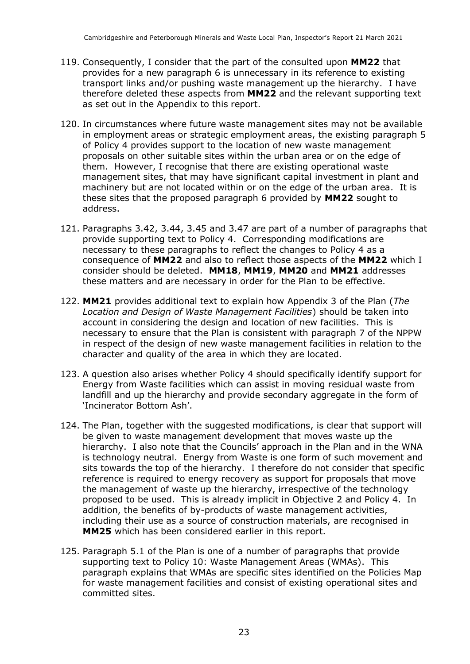- 119. Consequently, I consider that the part of the consulted upon **MM22** that provides for a new paragraph 6 is unnecessary in its reference to existing transport links and/or pushing waste management up the hierarchy. I have therefore deleted these aspects from **MM22** and the relevant supporting text as set out in the Appendix to this report.
- 120. In circumstances where future waste management sites may not be available in employment areas or strategic employment areas, the existing paragraph 5 of Policy 4 provides support to the location of new waste management proposals on other suitable sites within the urban area or on the edge of them. However, I recognise that there are existing operational waste management sites, that may have significant capital investment in plant and machinery but are not located within or on the edge of the urban area. It is these sites that the proposed paragraph 6 provided by **MM22** sought to address.
- 121. Paragraphs 3.42, 3.44, 3.45 and 3.47 are part of a number of paragraphs that provide supporting text to Policy 4. Corresponding modifications are necessary to these paragraphs to reflect the changes to Policy 4 as a consequence of **MM22** and also to reflect those aspects of the **MM22** which I consider should be deleted. **MM18**, **MM19**, **MM20** and **MM21** addresses these matters and are necessary in order for the Plan to be effective.
- 122. **MM21** provides additional text to explain how Appendix 3 of the Plan (*The Location and Design of Waste Management Facilities*) should be taken into account in considering the design and location of new facilities. This is necessary to ensure that the Plan is consistent with paragraph 7 of the NPPW in respect of the design of new waste management facilities in relation to the character and quality of the area in which they are located.
- 123. A question also arises whether Policy 4 should specifically identify support for Energy from Waste facilities which can assist in moving residual waste from landfill and up the hierarchy and provide secondary aggregate in the form of 'Incinerator Bottom Ash'.
- 124. The Plan, together with the suggested modifications, is clear that support will be given to waste management development that moves waste up the hierarchy. I also note that the Councils' approach in the Plan and in the WNA is technology neutral. Energy from Waste is one form of such movement and sits towards the top of the hierarchy. I therefore do not consider that specific reference is required to energy recovery as support for proposals that move the management of waste up the hierarchy, irrespective of the technology proposed to be used. This is already implicit in Objective 2 and Policy 4. In addition, the benefits of by-products of waste management activities, including their use as a source of construction materials, are recognised in **MM25** which has been considered earlier in this report.
- 125. Paragraph 5.1 of the Plan is one of a number of paragraphs that provide supporting text to Policy 10: Waste Management Areas (WMAs). This paragraph explains that WMAs are specific sites identified on the Policies Map for waste management facilities and consist of existing operational sites and committed sites.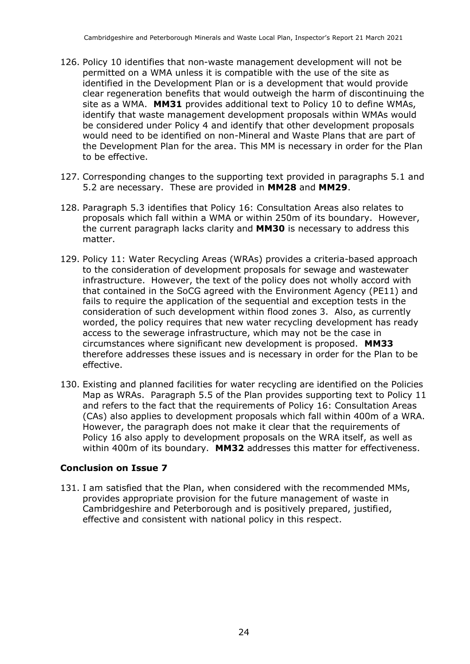- 126. Policy 10 identifies that non-waste management development will not be permitted on a WMA unless it is compatible with the use of the site as identified in the Development Plan or is a development that would provide clear regeneration benefits that would outweigh the harm of discontinuing the site as a WMA. **MM31** provides additional text to Policy 10 to define WMAs, identify that waste management development proposals within WMAs would be considered under Policy 4 and identify that other development proposals would need to be identified on non-Mineral and Waste Plans that are part of the Development Plan for the area. This MM is necessary in order for the Plan to be effective.
- 127. Corresponding changes to the supporting text provided in paragraphs 5.1 and 5.2 are necessary. These are provided in **MM28** and **MM29**.
- 128. Paragraph 5.3 identifies that Policy 16: Consultation Areas also relates to proposals which fall within a WMA or within 250m of its boundary. However, the current paragraph lacks clarity and **MM30** is necessary to address this matter.
- 129. Policy 11: Water Recycling Areas (WRAs) provides a criteria-based approach to the consideration of development proposals for sewage and wastewater infrastructure. However, the text of the policy does not wholly accord with that contained in the SoCG agreed with the Environment Agency (PE11) and fails to require the application of the sequential and exception tests in the consideration of such development within flood zones 3. Also, as currently worded, the policy requires that new water recycling development has ready access to the sewerage infrastructure, which may not be the case in circumstances where significant new development is proposed. **MM33** therefore addresses these issues and is necessary in order for the Plan to be effective.
- 130. Existing and planned facilities for water recycling are identified on the Policies Map as WRAs. Paragraph 5.5 of the Plan provides supporting text to Policy 11 and refers to the fact that the requirements of Policy 16: Consultation Areas (CAs) also applies to development proposals which fall within 400m of a WRA. However, the paragraph does not make it clear that the requirements of Policy 16 also apply to development proposals on the WRA itself, as well as within 400m of its boundary. **MM32** addresses this matter for effectiveness.

#### **Conclusion on Issue 7**

131. I am satisfied that the Plan, when considered with the recommended MMs, provides appropriate provision for the future management of waste in Cambridgeshire and Peterborough and is positively prepared, justified, effective and consistent with national policy in this respect.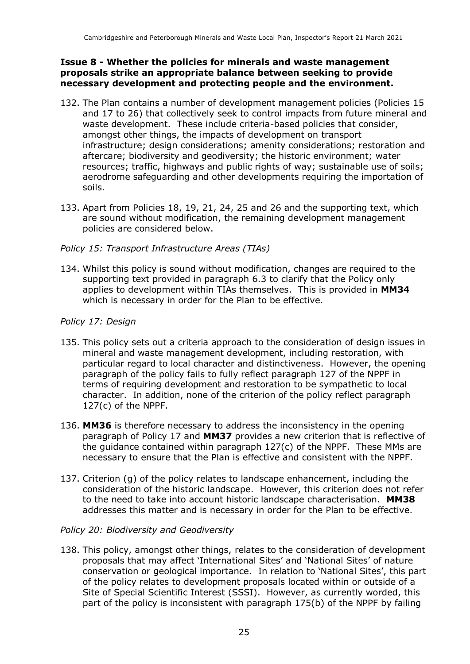#### **Issue 8 - Whether the policies for minerals and waste management proposals strike an appropriate balance between seeking to provide necessary development and protecting people and the environment.**

- 132. The Plan contains a number of development management policies (Policies 15 and 17 to 26) that collectively seek to control impacts from future mineral and waste development. These include criteria-based policies that consider, amongst other things, the impacts of development on transport infrastructure; design considerations; amenity considerations; restoration and aftercare; biodiversity and geodiversity; the historic environment; water resources; traffic, highways and public rights of way; sustainable use of soils; aerodrome safeguarding and other developments requiring the importation of soils.
- 133. Apart from Policies 18, 19, 21, 24, 25 and 26 and the supporting text, which are sound without modification, the remaining development management policies are considered below.

#### *Policy 15: Transport Infrastructure Areas (TIAs)*

134. Whilst this policy is sound without modification, changes are required to the supporting text provided in paragraph 6.3 to clarify that the Policy only applies to development within TIAs themselves. This is provided in **MM34** which is necessary in order for the Plan to be effective.

#### *Policy 17: Design*

- 135. This policy sets out a criteria approach to the consideration of design issues in mineral and waste management development, including restoration, with particular regard to local character and distinctiveness. However, the opening paragraph of the policy fails to fully reflect paragraph 127 of the NPPF in terms of requiring development and restoration to be sympathetic to local character. In addition, none of the criterion of the policy reflect paragraph 127(c) of the NPPF.
- 136. **MM36** is therefore necessary to address the inconsistency in the opening paragraph of Policy 17 and **MM37** provides a new criterion that is reflective of the guidance contained within paragraph 127(c) of the NPPF. These MMs are necessary to ensure that the Plan is effective and consistent with the NPPF.
- 137. Criterion (g) of the policy relates to landscape enhancement, including the consideration of the historic landscape. However, this criterion does not refer to the need to take into account historic landscape characterisation. **MM38** addresses this matter and is necessary in order for the Plan to be effective.

#### *Policy 20: Biodiversity and Geodiversity*

138. This policy, amongst other things, relates to the consideration of development proposals that may affect 'International Sites' and 'National Sites' of nature conservation or geological importance. In relation to 'National Sites', this part of the policy relates to development proposals located within or outside of a Site of Special Scientific Interest (SSSI). However, as currently worded, this part of the policy is inconsistent with paragraph 175(b) of the NPPF by failing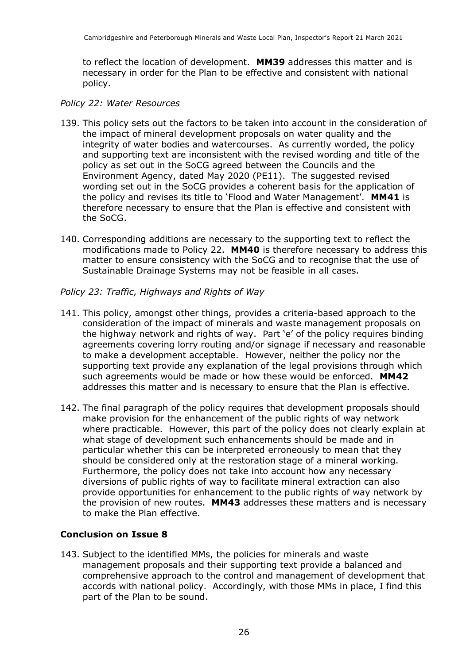to reflect the location of development. **MM39** addresses this matter and is necessary in order for the Plan to be effective and consistent with national policy.

#### *Policy 22: Water Resources*

- 139. This policy sets out the factors to be taken into account in the consideration of the impact of mineral development proposals on water quality and the integrity of water bodies and watercourses. As currently worded, the policy and supporting text are inconsistent with the revised wording and title of the policy as set out in the SoCG agreed between the Councils and the Environment Agency, dated May 2020 (PE11). The suggested revised wording set out in the SoCG provides a coherent basis for the application of the policy and revises its title to 'Flood and Water Management'. **MM41** is therefore necessary to ensure that the Plan is effective and consistent with the SoCG.
- 140. Corresponding additions are necessary to the supporting text to reflect the modifications made to Policy 22. **MM40** is therefore necessary to address this matter to ensure consistency with the SoCG and to recognise that the use of Sustainable Drainage Systems may not be feasible in all cases.

#### *Policy 23: Traffic, Highways and Rights of Way*

- 141. This policy, amongst other things, provides a criteria-based approach to the consideration of the impact of minerals and waste management proposals on the highway network and rights of way. Part 'e' of the policy requires binding agreements covering lorry routing and/or signage if necessary and reasonable to make a development acceptable. However, neither the policy nor the supporting text provide any explanation of the legal provisions through which such agreements would be made or how these would be enforced. **MM42** addresses this matter and is necessary to ensure that the Plan is effective.
- 142. The final paragraph of the policy requires that development proposals should make provision for the enhancement of the public rights of way network where practicable. However, this part of the policy does not clearly explain at what stage of development such enhancements should be made and in particular whether this can be interpreted erroneously to mean that they should be considered only at the restoration stage of a mineral working. Furthermore, the policy does not take into account how any necessary diversions of public rights of way to facilitate mineral extraction can also provide opportunities for enhancement to the public rights of way network by the provision of new routes. **MM43** addresses these matters and is necessary to make the Plan effective.

#### **Conclusion on Issue 8**

143. Subject to the identified MMs, the policies for minerals and waste management proposals and their supporting text provide a balanced and comprehensive approach to the control and management of development that accords with national policy. Accordingly, with those MMs in place, I find this part of the Plan to be sound.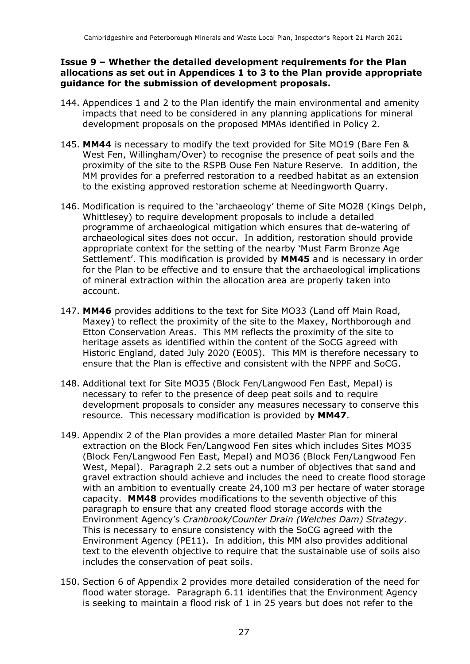#### **Issue 9 – Whether the detailed development requirements for the Plan allocations as set out in Appendices 1 to 3 to the Plan provide appropriate guidance for the submission of development proposals.**

- 144. Appendices 1 and 2 to the Plan identify the main environmental and amenity impacts that need to be considered in any planning applications for mineral development proposals on the proposed MMAs identified in Policy 2.
- 145. **MM44** is necessary to modify the text provided for Site MO19 (Bare Fen & West Fen, Willingham/Over) to recognise the presence of peat soils and the proximity of the site to the RSPB Ouse Fen Nature Reserve. In addition, the MM provides for a preferred restoration to a reedbed habitat as an extension to the existing approved restoration scheme at Needingworth Quarry.
- 146. Modification is required to the 'archaeology' theme of Site MO28 (Kings Delph, Whittlesey) to require development proposals to include a detailed programme of archaeological mitigation which ensures that de-watering of archaeological sites does not occur. In addition, restoration should provide appropriate context for the setting of the nearby 'Must Farm Bronze Age Settlement'. This modification is provided by **MM45** and is necessary in order for the Plan to be effective and to ensure that the archaeological implications of mineral extraction within the allocation area are properly taken into account.
- 147. **MM46** provides additions to the text for Site MO33 (Land off Main Road, Maxey) to reflect the proximity of the site to the Maxey, Northborough and Etton Conservation Areas. This MM reflects the proximity of the site to heritage assets as identified within the content of the SoCG agreed with Historic England, dated July 2020 (E005). This MM is therefore necessary to ensure that the Plan is effective and consistent with the NPPF and SoCG.
- 148. Additional text for Site MO35 (Block Fen/Langwood Fen East, Mepal) is necessary to refer to the presence of deep peat soils and to require development proposals to consider any measures necessary to conserve this resource. This necessary modification is provided by **MM47**.
- 149. Appendix 2 of the Plan provides a more detailed Master Plan for mineral extraction on the Block Fen/Langwood Fen sites which includes Sites MO35 (Block Fen/Langwood Fen East, Mepal) and MO36 (Block Fen/Langwood Fen West, Mepal). Paragraph 2.2 sets out a number of objectives that sand and gravel extraction should achieve and includes the need to create flood storage with an ambition to eventually create 24,100 m3 per hectare of water storage capacity. **MM48** provides modifications to the seventh objective of this paragraph to ensure that any created flood storage accords with the Environment Agency's *Cranbrook/Counter Drain (Welches Dam) Strategy*. This is necessary to ensure consistency with the SoCG agreed with the Environment Agency (PE11). In addition, this MM also provides additional text to the eleventh objective to require that the sustainable use of soils also includes the conservation of peat soils.
- 150. Section 6 of Appendix 2 provides more detailed consideration of the need for flood water storage. Paragraph 6.11 identifies that the Environment Agency is seeking to maintain a flood risk of 1 in 25 years but does not refer to the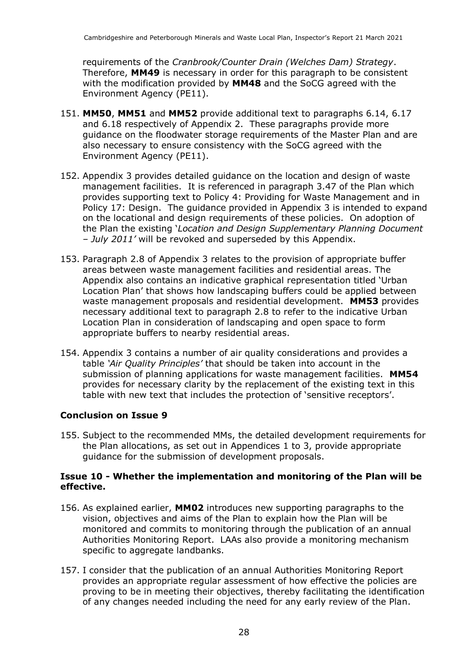requirements of the *Cranbrook/Counter Drain (Welches Dam) Strategy*. Therefore, **MM49** is necessary in order for this paragraph to be consistent with the modification provided by **MM48** and the SoCG agreed with the Environment Agency (PE11).

- 151. **MM50**, **MM51** and **MM52** provide additional text to paragraphs 6.14, 6.17 and 6.18 respectively of Appendix 2. These paragraphs provide more guidance on the floodwater storage requirements of the Master Plan and are also necessary to ensure consistency with the SoCG agreed with the Environment Agency (PE11).
- 152. Appendix 3 provides detailed guidance on the location and design of waste management facilities. It is referenced in paragraph 3.47 of the Plan which provides supporting text to Policy 4: Providing for Waste Management and in Policy 17: Design. The guidance provided in Appendix 3 is intended to expand on the locational and design requirements of these policies. On adoption of the Plan the existing '*Location and Design Supplementary Planning Document – July 2011'* will be revoked and superseded by this Appendix.
- 153. Paragraph 2.8 of Appendix 3 relates to the provision of appropriate buffer areas between waste management facilities and residential areas. The Appendix also contains an indicative graphical representation titled 'Urban Location Plan' that shows how landscaping buffers could be applied between waste management proposals and residential development. **MM53** provides necessary additional text to paragraph 2.8 to refer to the indicative Urban Location Plan in consideration of landscaping and open space to form appropriate buffers to nearby residential areas.
- 154. Appendix 3 contains a number of air quality considerations and provides a table *'Air Quality Principles'* that should be taken into account in the submission of planning applications for waste management facilities. **MM54**  provides for necessary clarity by the replacement of the existing text in this table with new text that includes the protection of 'sensitive receptors'.

#### **Conclusion on Issue 9**

155. Subject to the recommended MMs, the detailed development requirements for the Plan allocations, as set out in Appendices 1 to 3, provide appropriate guidance for the submission of development proposals.

#### **Issue 10 - Whether the implementation and monitoring of the Plan will be effective.**

- 156. As explained earlier, **MM02** introduces new supporting paragraphs to the vision, objectives and aims of the Plan to explain how the Plan will be monitored and commits to monitoring through the publication of an annual Authorities Monitoring Report. LAAs also provide a monitoring mechanism specific to aggregate landbanks.
- 157. I consider that the publication of an annual Authorities Monitoring Report provides an appropriate regular assessment of how effective the policies are proving to be in meeting their objectives, thereby facilitating the identification of any changes needed including the need for any early review of the Plan.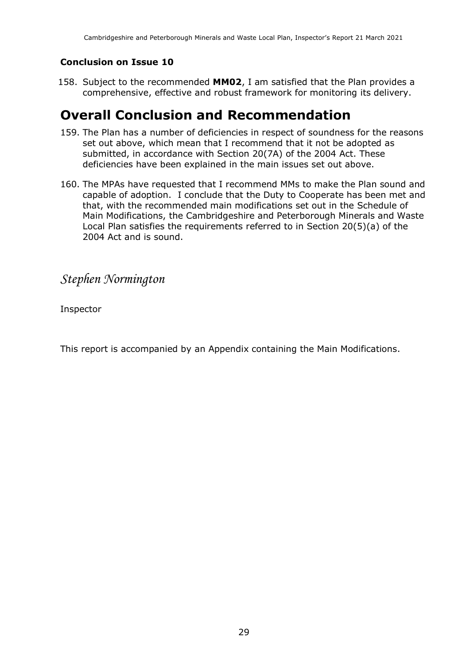### **Conclusion on Issue 10**

158. Subject to the recommended **MM02**, I am satisfied that the Plan provides a comprehensive, effective and robust framework for monitoring its delivery.

### **Overall Conclusion and Recommendation**

- 159. The Plan has a number of deficiencies in respect of soundness for the reasons set out above, which mean that I recommend that it not be adopted as submitted, in accordance with Section 20(7A) of the 2004 Act. These deficiencies have been explained in the main issues set out above.
- 160. The MPAs have requested that I recommend MMs to make the Plan sound and capable of adoption. I conclude that the Duty to Cooperate has been met and that, with the recommended main modifications set out in the Schedule of Main Modifications, the Cambridgeshire and Peterborough Minerals and Waste Local Plan satisfies the requirements referred to in Section 20(5)(a) of the 2004 Act and is sound.

*Stephen Normington*

Inspector

This report is accompanied by an Appendix containing the Main Modifications.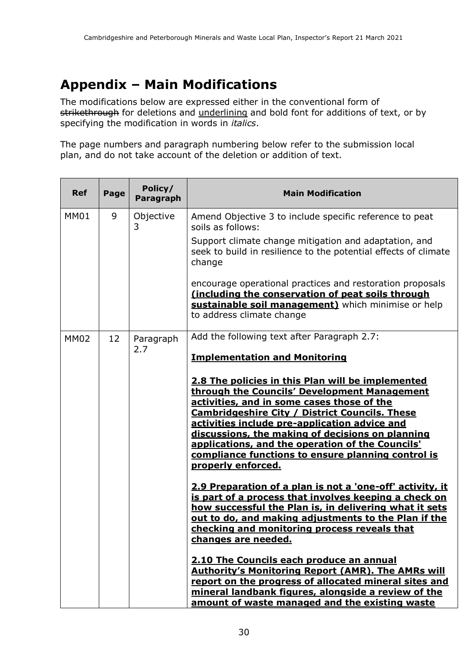# **Appendix – Main Modifications**

The modifications below are expressed either in the conventional form of strikethrough for deletions and underlining and bold font for additions of text, or by specifying the modification in words in *italics*.

The page numbers and paragraph numbering below refer to the submission local plan, and do not take account of the deletion or addition of text.

| <b>Ref</b>  | Page | Policy/<br>Paragraph | <b>Main Modification</b>                                                                                                                                                                                                                                                                                                                                                                                                                                                                                                                                                                                                                                                                                                                                                                                                                                                                                                                                                                                              |
|-------------|------|----------------------|-----------------------------------------------------------------------------------------------------------------------------------------------------------------------------------------------------------------------------------------------------------------------------------------------------------------------------------------------------------------------------------------------------------------------------------------------------------------------------------------------------------------------------------------------------------------------------------------------------------------------------------------------------------------------------------------------------------------------------------------------------------------------------------------------------------------------------------------------------------------------------------------------------------------------------------------------------------------------------------------------------------------------|
| <b>MM01</b> | 9    | Objective<br>3       | Amend Objective 3 to include specific reference to peat<br>soils as follows:<br>Support climate change mitigation and adaptation, and<br>seek to build in resilience to the potential effects of climate                                                                                                                                                                                                                                                                                                                                                                                                                                                                                                                                                                                                                                                                                                                                                                                                              |
|             |      |                      | change<br>encourage operational practices and restoration proposals<br>(including the conservation of peat soils through<br>sustainable soil management) which minimise or help<br>to address climate change                                                                                                                                                                                                                                                                                                                                                                                                                                                                                                                                                                                                                                                                                                                                                                                                          |
| <b>MM02</b> | 12   | Paragraph<br>2.7     | Add the following text after Paragraph 2.7:<br><b>Implementation and Monitoring</b><br>2.8 The policies in this Plan will be implemented<br>through the Councils' Development Management<br>activities, and in some cases those of the<br><b>Cambridgeshire City / District Councils. These</b><br>activities include pre-application advice and<br>discussions, the making of decisions on planning<br>applications, and the operation of the Councils'<br>compliance functions to ensure planning control is<br>properly enforced.<br>2.9 Preparation of a plan is not a 'one-off' activity, it<br>is part of a process that involves keeping a check on<br>how successful the Plan is, in delivering what it sets<br>out to do, and making adjustments to the Plan if the<br>checking and monitoring process reveals that<br>changes are needed.<br>2.10 The Councils each produce an annual<br><b>Authority's Monitoring Report (AMR). The AMRs will</b><br>report on the progress of allocated mineral sites and |
|             |      |                      | mineral landbank figures, alongside a review of the<br>amount of waste managed and the existing waste                                                                                                                                                                                                                                                                                                                                                                                                                                                                                                                                                                                                                                                                                                                                                                                                                                                                                                                 |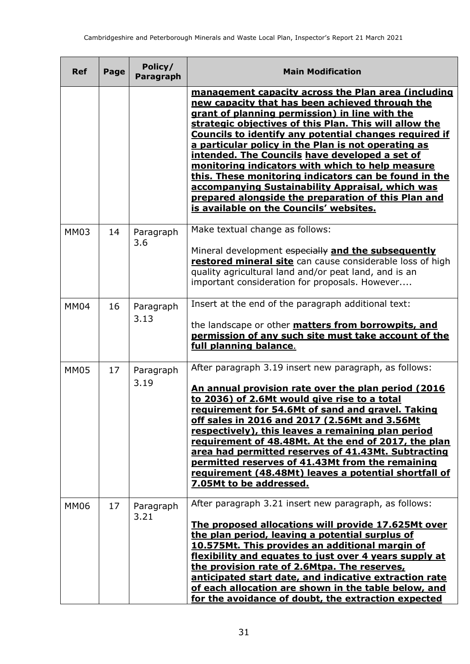| <b>Ref</b>  | Page | Policy/<br>Paragraph | <b>Main Modification</b>                                                                                                                                                                                                                                                                                                                                                                                                                                                                                                                                                                                                                                 |
|-------------|------|----------------------|----------------------------------------------------------------------------------------------------------------------------------------------------------------------------------------------------------------------------------------------------------------------------------------------------------------------------------------------------------------------------------------------------------------------------------------------------------------------------------------------------------------------------------------------------------------------------------------------------------------------------------------------------------|
|             |      |                      | management capacity across the Plan area (including<br>new capacity that has been achieved through the<br>grant of planning permission) in line with the<br>strategic objectives of this Plan. This will allow the<br>Councils to identify any potential changes required if<br>a particular policy in the Plan is not operating as<br>intended. The Councils have developed a set of<br>monitoring indicators with which to help measure<br>this. These monitoring indicators can be found in the<br>accompanying Sustainability Appraisal, which was<br>prepared alongside the preparation of this Plan and<br>is available on the Councils' websites. |
| <b>MM03</b> | 14   | Paragraph<br>3.6     | Make textual change as follows:<br>Mineral development especially and the subsequently<br>restored mineral site can cause considerable loss of high<br>quality agricultural land and/or peat land, and is an<br>important consideration for proposals. However                                                                                                                                                                                                                                                                                                                                                                                           |
| <b>MM04</b> | 16   | Paragraph<br>3.13    | Insert at the end of the paragraph additional text:<br>the landscape or other <b>matters from borrowpits, and</b><br>permission of any such site must take account of the<br>full planning balance.                                                                                                                                                                                                                                                                                                                                                                                                                                                      |
| <b>MM05</b> | 17   | Paragraph<br>3.19    | After paragraph 3.19 insert new paragraph, as follows:<br>An annual provision rate over the plan period (2016<br>to 2036) of 2.6Mt would give rise to a total<br>requirement for 54.6Mt of sand and gravel. Taking<br>off sales in 2016 and 2017 (2.56Mt and 3.56Mt<br>respectively), this leaves a remaining plan period<br>requirement of 48.48Mt. At the end of 2017, the plan<br>area had permitted reserves of 41.43Mt. Subtracting<br>permitted reserves of 41.43Mt from the remaining<br>requirement (48.48Mt) leaves a potential shortfall of<br><u>7.05Mt to be addressed.</u>                                                                  |
| <b>MM06</b> | 17   | Paragraph<br>3.21    | After paragraph 3.21 insert new paragraph, as follows:<br>The proposed allocations will provide 17.625Mt over<br>the plan period, leaving a potential surplus of<br>10.575Mt. This provides an additional margin of<br>flexibility and equates to just over 4 years supply at<br>the provision rate of 2.6Mtpa. The reserves,<br>anticipated start date, and indicative extraction rate<br>of each allocation are shown in the table below, and<br>for the avoidance of doubt, the extraction expected                                                                                                                                                   |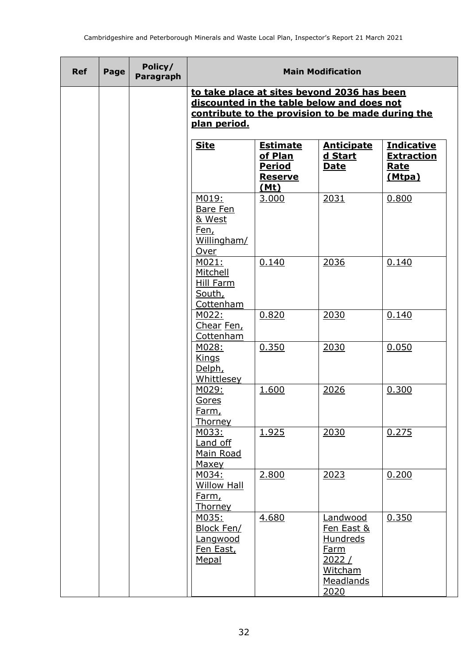| <b>Ref</b> | Page | Policy/<br>Paragraph | <b>Main Modification</b>                                                   |                                                                              |                                                                                                                                                |                                                                 |
|------------|------|----------------------|----------------------------------------------------------------------------|------------------------------------------------------------------------------|------------------------------------------------------------------------------------------------------------------------------------------------|-----------------------------------------------------------------|
|            |      |                      | plan period.                                                               |                                                                              | to take place at sites beyond 2036 has been<br>discounted in the table below and does not<br>contribute to the provision to be made during the |                                                                 |
|            |      |                      | <b>Site</b>                                                                | <b>Estimate</b><br>of Plan<br><b>Period</b><br><b>Reserve</b><br><u>(Mt)</u> | <b>Anticipate</b><br><u>d Start</u><br><b>Date</b>                                                                                             | <b>Indicative</b><br><b>Extraction</b><br><u>Rate</u><br>(Mtpa) |
|            |      |                      | M019:<br>Bare Fen<br>& West<br>Fen,<br>Willingham/<br>Over                 | 3.000                                                                        | 2031                                                                                                                                           | 0.800                                                           |
|            |      |                      | M021:<br>Mitchell<br>Hill Farm<br>South,<br>Cottenham                      | 0.140                                                                        | 2036                                                                                                                                           | 0.140                                                           |
|            |      |                      | M022:<br>Chear Fen,<br>Cottenham                                           | 0.820                                                                        | 2030                                                                                                                                           | 0.140                                                           |
|            |      |                      | M028:<br><b>Kings</b><br>Delph,<br>Whittlesey                              | 0.350                                                                        | 2030                                                                                                                                           | 0.050                                                           |
|            |      |                      | M029:<br>Gores<br>Farm,<br>Thorney                                         | 1.600                                                                        | 2026                                                                                                                                           | 0.300                                                           |
|            |      |                      | M033:<br>Land off<br>Main Road<br><b>Maxey</b>                             | 1.925                                                                        | 2030                                                                                                                                           | 0.275                                                           |
|            |      |                      | M034:<br><b>Willow Hall</b><br>Farm,<br><b>Thorney</b>                     | 2.800                                                                        | 2023                                                                                                                                           | 0.200                                                           |
|            |      |                      | M035:<br><b>Block Fen/</b><br><b>Langwood</b><br>Fen East,<br><b>Mepal</b> | 4.680                                                                        | Landwood<br>Fen East &<br><b>Hundreds</b><br>Farm<br>2022/<br>Witcham<br>Meadlands<br>2020                                                     | 0.350                                                           |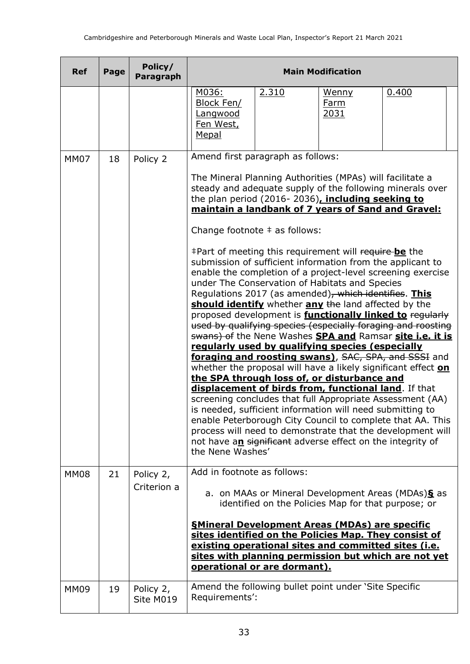| <b>Ref</b>  | Page | Policy/<br>Paragraph     |                                                       |                                                                                                                                                                                                                                                                                                                                                                                                                                                                                                                                                                                                                                                                                                                                                                                                                                                                                                                                                                                                                                                                                                                                                                     | <b>Main Modification</b>            |       |  |  |
|-------------|------|--------------------------|-------------------------------------------------------|---------------------------------------------------------------------------------------------------------------------------------------------------------------------------------------------------------------------------------------------------------------------------------------------------------------------------------------------------------------------------------------------------------------------------------------------------------------------------------------------------------------------------------------------------------------------------------------------------------------------------------------------------------------------------------------------------------------------------------------------------------------------------------------------------------------------------------------------------------------------------------------------------------------------------------------------------------------------------------------------------------------------------------------------------------------------------------------------------------------------------------------------------------------------|-------------------------------------|-------|--|--|
|             |      |                          | M036:<br>Block Fen/<br>Langwood<br>Fen West,<br>Mepal | 2.310                                                                                                                                                                                                                                                                                                                                                                                                                                                                                                                                                                                                                                                                                                                                                                                                                                                                                                                                                                                                                                                                                                                                                               | <u>Wenny</u><br><u>Farm</u><br>2031 | 0.400 |  |  |
| <b>MM07</b> | 18   | Policy 2                 |                                                       | Amend first paragraph as follows:<br>The Mineral Planning Authorities (MPAs) will facilitate a<br>steady and adequate supply of the following minerals over<br>the plan period (2016-2036), including seeking to                                                                                                                                                                                                                                                                                                                                                                                                                                                                                                                                                                                                                                                                                                                                                                                                                                                                                                                                                    |                                     |       |  |  |
|             |      |                          |                                                       | maintain a landbank of 7 years of Sand and Gravel:<br>Change footnote $\pm$ as follows:                                                                                                                                                                                                                                                                                                                                                                                                                                                                                                                                                                                                                                                                                                                                                                                                                                                                                                                                                                                                                                                                             |                                     |       |  |  |
|             |      |                          | the Nene Washes'                                      | ‡Part of meeting this requirement will require-be the<br>submission of sufficient information from the applicant to<br>enable the completion of a project-level screening exercise<br>under The Conservation of Habitats and Species<br>Regulations 2017 (as amended), which identifies. This<br>should identify whether any the land affected by the<br>proposed development is <b>functionally linked to</b> regularly<br>used by qualifying species (especially foraging and roosting<br>swans) of the Nene Washes <b>SPA and</b> Ramsar site i.e. it is<br>regularly used by qualifying species (especially<br>foraging and roosting swans), SAC, SPA, and SSSI and<br>whether the proposal will have a likely significant effect on<br>the SPA through loss of, or disturbance and<br>displacement of birds from, functional land. If that<br>screening concludes that full Appropriate Assessment (AA)<br>is needed, sufficient information will need submitting to<br>enable Peterborough City Council to complete that AA. This<br>process will need to demonstrate that the development will<br>not have an significant adverse effect on the integrity of |                                     |       |  |  |
| <b>MM08</b> | 21   | Policy 2,<br>Criterion a | Add in footnote as follows:                           | a. on MAAs or Mineral Development Areas (MDAs) § as<br>identified on the Policies Map for that purpose; or                                                                                                                                                                                                                                                                                                                                                                                                                                                                                                                                                                                                                                                                                                                                                                                                                                                                                                                                                                                                                                                          |                                     |       |  |  |
|             |      |                          |                                                       | <b>SMineral Development Areas (MDAs) are specific</b><br>sites identified on the Policies Map. They consist of<br>existing operational sites and committed sites (i.e.<br>sites with planning permission but which are not yet<br>operational or are dormant).                                                                                                                                                                                                                                                                                                                                                                                                                                                                                                                                                                                                                                                                                                                                                                                                                                                                                                      |                                     |       |  |  |
| <b>MM09</b> | 19   | Policy 2,<br>Site M019   | Requirements':                                        | Amend the following bullet point under 'Site Specific                                                                                                                                                                                                                                                                                                                                                                                                                                                                                                                                                                                                                                                                                                                                                                                                                                                                                                                                                                                                                                                                                                               |                                     |       |  |  |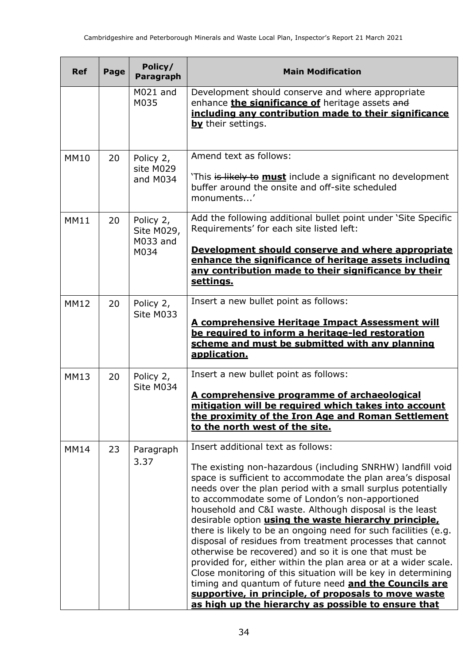| <b>Ref</b>  | Page | Policy/<br>Paragraph                        | <b>Main Modification</b>                                                                                                                                                                                                                                                                                                                                                                                                                                                                                                                                                                                                                                                                                                                                                                                                                                                                                           |  |  |
|-------------|------|---------------------------------------------|--------------------------------------------------------------------------------------------------------------------------------------------------------------------------------------------------------------------------------------------------------------------------------------------------------------------------------------------------------------------------------------------------------------------------------------------------------------------------------------------------------------------------------------------------------------------------------------------------------------------------------------------------------------------------------------------------------------------------------------------------------------------------------------------------------------------------------------------------------------------------------------------------------------------|--|--|
|             |      | M021 and<br>M035                            | Development should conserve and where appropriate<br>enhance the significance of heritage assets and<br>including any contribution made to their significance<br>by their settings.                                                                                                                                                                                                                                                                                                                                                                                                                                                                                                                                                                                                                                                                                                                                |  |  |
| <b>MM10</b> | 20   | Policy 2,<br>site M029<br>and M034          | Amend text as follows:<br>'This is likely to must include a significant no development<br>buffer around the onsite and off-site scheduled<br>monuments'                                                                                                                                                                                                                                                                                                                                                                                                                                                                                                                                                                                                                                                                                                                                                            |  |  |
| <b>MM11</b> | 20   | Policy 2,<br>Site M029,<br>M033 and<br>M034 | Add the following additional bullet point under 'Site Specific<br>Requirements' for each site listed left:<br>Development should conserve and where appropriate<br>enhance the significance of heritage assets including<br>any contribution made to their significance by their<br><u>settings.</u>                                                                                                                                                                                                                                                                                                                                                                                                                                                                                                                                                                                                               |  |  |
| <b>MM12</b> | 20   | Policy 2,<br>Site M033                      | Insert a new bullet point as follows:<br>A comprehensive Heritage Impact Assessment will<br>be required to inform a heritage-led restoration<br>scheme and must be submitted with any planning<br>application.                                                                                                                                                                                                                                                                                                                                                                                                                                                                                                                                                                                                                                                                                                     |  |  |
| <b>MM13</b> | 20   | Policy 2,<br>Site M034                      | Insert a new bullet point as follows:<br>A comprehensive programme of archaeological<br>mitigation will be required which takes into account<br>the proximity of the Iron Age and Roman Settlement<br>to the north west of the site.                                                                                                                                                                                                                                                                                                                                                                                                                                                                                                                                                                                                                                                                               |  |  |
| <b>MM14</b> | 23   | Paragraph<br>3.37                           | Insert additional text as follows:<br>The existing non-hazardous (including SNRHW) landfill void<br>space is sufficient to accommodate the plan area's disposal<br>needs over the plan period with a small surplus potentially<br>to accommodate some of London's non-apportioned<br>household and C&I waste. Although disposal is the least<br>desirable option <i>using the waste hierarchy principle</i> ,<br>there is likely to be an ongoing need for such facilities (e.g.<br>disposal of residues from treatment processes that cannot<br>otherwise be recovered) and so it is one that must be<br>provided for, either within the plan area or at a wider scale.<br>Close monitoring of this situation will be key in determining<br>timing and quantum of future need and the Councils are<br>supportive, in principle, of proposals to move waste<br>as high up the hierarchy as possible to ensure that |  |  |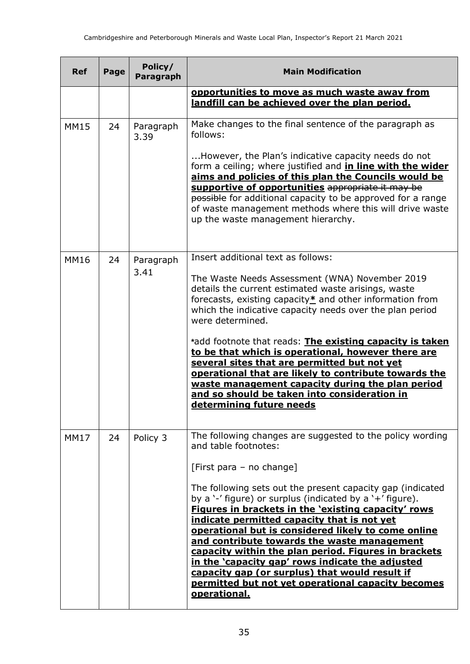| <b>Ref</b>  | Page | Policy/<br>Paragraph | <b>Main Modification</b>                                                                                                                                                                                                                                                                                                                                                                                                                                                                                                                                                                                                                                                                       |  |  |
|-------------|------|----------------------|------------------------------------------------------------------------------------------------------------------------------------------------------------------------------------------------------------------------------------------------------------------------------------------------------------------------------------------------------------------------------------------------------------------------------------------------------------------------------------------------------------------------------------------------------------------------------------------------------------------------------------------------------------------------------------------------|--|--|
|             |      |                      | opportunities to move as much waste away from<br>landfill can be achieved over the plan period.                                                                                                                                                                                                                                                                                                                                                                                                                                                                                                                                                                                                |  |  |
| <b>MM15</b> | 24   | Paragraph<br>3.39    | Make changes to the final sentence of the paragraph as<br>follows:<br>However, the Plan's indicative capacity needs do not<br>form a ceiling; where justified and <i>in line with the wider</i><br>aims and policies of this plan the Councils would be<br>supportive of opportunities appropriate it may be<br>possible for additional capacity to be approved for a range<br>of waste management methods where this will drive waste<br>up the waste management hierarchy.                                                                                                                                                                                                                   |  |  |
| <b>MM16</b> | 24   | Paragraph<br>3.41    | Insert additional text as follows:<br>The Waste Needs Assessment (WNA) November 2019<br>details the current estimated waste arisings, waste<br>forecasts, existing capacity $*$ and other information from<br>which the indicative capacity needs over the plan period<br>were determined.<br>*add footnote that reads: The existing capacity is taken<br>to be that which is operational, however there are<br>several sites that are permitted but not yet<br>operational that are likely to contribute towards the<br>waste management capacity during the plan period<br>and so should be taken into consideration in<br>determining future needs                                          |  |  |
| <b>MM17</b> | 24   | Policy 3             | The following changes are suggested to the policy wording<br>and table footnotes:<br>[First para - no change]<br>The following sets out the present capacity gap (indicated<br>by a '-' figure) or surplus (indicated by a '+' figure).<br><b>Figures in brackets in the 'existing capacity' rows</b><br>indicate permitted capacity that is not yet<br>operational but is considered likely to come online<br>and contribute towards the waste management<br>capacity within the plan period. Figures in brackets<br>in the 'capacity gap' rows indicate the adjusted<br>capacity gap (or surplus) that would result if<br>permitted but not vet operational capacity becomes<br>operational. |  |  |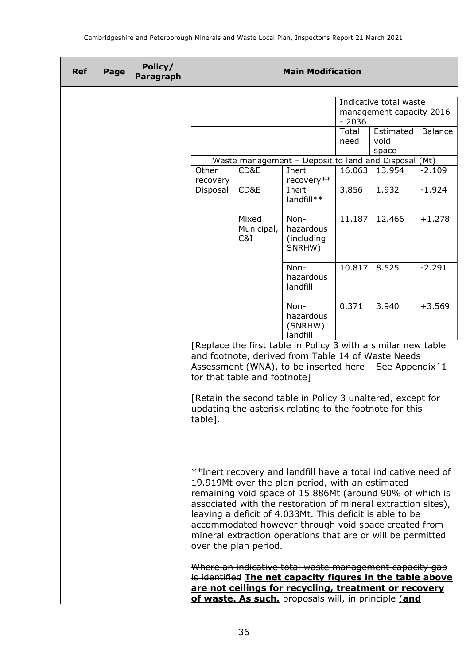| <b>Ref</b> | Page | Policy/<br>Paragraph | <b>Main Modification</b> |                                                                                                                                                                                                                                                                                                                                                                                                                                                                                                                                                                                                                                                                            |                                                                                                                                                                                                                                                                                                        |                          |                                                    |          |
|------------|------|----------------------|--------------------------|----------------------------------------------------------------------------------------------------------------------------------------------------------------------------------------------------------------------------------------------------------------------------------------------------------------------------------------------------------------------------------------------------------------------------------------------------------------------------------------------------------------------------------------------------------------------------------------------------------------------------------------------------------------------------|--------------------------------------------------------------------------------------------------------------------------------------------------------------------------------------------------------------------------------------------------------------------------------------------------------|--------------------------|----------------------------------------------------|----------|
|            |      |                      |                          |                                                                                                                                                                                                                                                                                                                                                                                                                                                                                                                                                                                                                                                                            |                                                                                                                                                                                                                                                                                                        |                          |                                                    |          |
|            |      |                      |                          |                                                                                                                                                                                                                                                                                                                                                                                                                                                                                                                                                                                                                                                                            |                                                                                                                                                                                                                                                                                                        |                          | Indicative total waste<br>management capacity 2016 |          |
|            |      |                      |                          |                                                                                                                                                                                                                                                                                                                                                                                                                                                                                                                                                                                                                                                                            |                                                                                                                                                                                                                                                                                                        | $-2036$<br>Total<br>need | Estimated<br>void                                  | Balance  |
|            |      |                      |                          |                                                                                                                                                                                                                                                                                                                                                                                                                                                                                                                                                                                                                                                                            |                                                                                                                                                                                                                                                                                                        |                          | space                                              |          |
|            |      |                      |                          |                                                                                                                                                                                                                                                                                                                                                                                                                                                                                                                                                                                                                                                                            | Waste management - Deposit to land and Disposal (Mt)                                                                                                                                                                                                                                                   |                          |                                                    |          |
|            |      |                      | Other<br>recovery        | CD&E                                                                                                                                                                                                                                                                                                                                                                                                                                                                                                                                                                                                                                                                       | Inert<br>recovery**                                                                                                                                                                                                                                                                                    | 16.063                   | 13.954                                             | $-2.109$ |
|            |      |                      | Disposal                 | CD&E                                                                                                                                                                                                                                                                                                                                                                                                                                                                                                                                                                                                                                                                       | Inert<br>landfill**                                                                                                                                                                                                                                                                                    | 3.856                    | 1.932                                              | $-1.924$ |
|            |      |                      |                          | Mixed<br>Municipal,<br>C&I                                                                                                                                                                                                                                                                                                                                                                                                                                                                                                                                                                                                                                                 | Non-<br>hazardous<br>(including<br>SNRHW)                                                                                                                                                                                                                                                              | 11.187                   | 12.466                                             | $+1.278$ |
|            |      |                      |                          |                                                                                                                                                                                                                                                                                                                                                                                                                                                                                                                                                                                                                                                                            | Non-<br>hazardous<br>landfill                                                                                                                                                                                                                                                                          | 10.817                   | 8.525                                              | $-2.291$ |
|            |      |                      |                          |                                                                                                                                                                                                                                                                                                                                                                                                                                                                                                                                                                                                                                                                            | Non-<br>hazardous<br>(SNRHW)<br>landfill                                                                                                                                                                                                                                                               | 0.371                    | 3.940                                              | $+3.569$ |
|            |      |                      | table].                  | for that table and footnote]                                                                                                                                                                                                                                                                                                                                                                                                                                                                                                                                                                                                                                               | [Replace the first table in Policy 3 with a similar new table<br>and footnote, derived from Table 14 of Waste Needs<br>Assessment (WNA), to be inserted here - See Appendix 1<br>[Retain the second table in Policy 3 unaltered, except for<br>updating the asterisk relating to the footnote for this |                          |                                                    |          |
|            |      |                      | over the plan period.    | **Inert recovery and landfill have a total indicative need of<br>19.919Mt over the plan period, with an estimated<br>remaining void space of 15.886Mt (around 90% of which is<br>associated with the restoration of mineral extraction sites),<br>leaving a deficit of 4.033Mt. This deficit is able to be<br>accommodated however through void space created from<br>mineral extraction operations that are or will be permitted<br>Where an indicative total waste management capacity gap<br>is identified The net capacity figures in the table above<br>are not ceilings for recycling, treatment or recovery<br>of waste. As such, proposals will, in principle (and |                                                                                                                                                                                                                                                                                                        |                          |                                                    |          |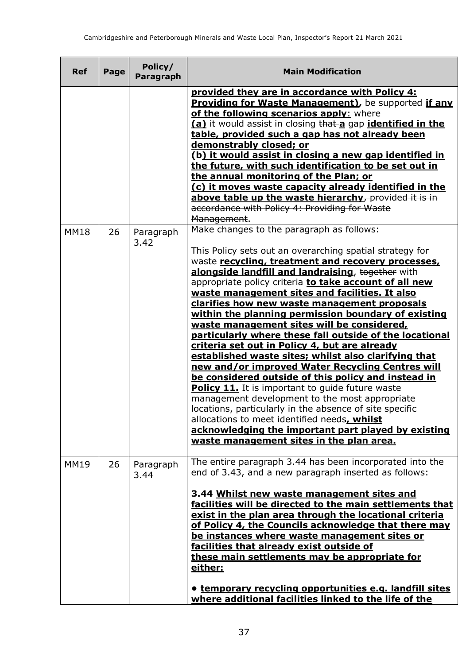| <b>Ref</b>  | Page | Policy/<br><b>Paragraph</b> | <b>Main Modification</b>                                                                                                                                                                                                                                                                                                                                                                                                                                                                                                                                                                                                                                                                                                                                                                                                                                                                                                                                                                                                                                                                    |
|-------------|------|-----------------------------|---------------------------------------------------------------------------------------------------------------------------------------------------------------------------------------------------------------------------------------------------------------------------------------------------------------------------------------------------------------------------------------------------------------------------------------------------------------------------------------------------------------------------------------------------------------------------------------------------------------------------------------------------------------------------------------------------------------------------------------------------------------------------------------------------------------------------------------------------------------------------------------------------------------------------------------------------------------------------------------------------------------------------------------------------------------------------------------------|
|             |      |                             | provided they are in accordance with Policy 4:<br>Providing for Waste Management), be supported if any<br>of the following scenarios apply: where<br>(a) it would assist in closing that a gap identified in the<br>table, provided such a gap has not already been<br>demonstrably closed; or<br>(b) it would assist in closing a new gap identified in<br>the future, with such identification to be set out in<br>the annual monitoring of the Plan; or<br>(c) it moves waste capacity already identified in the<br>above table up the waste hierarchy, provided it is in<br>accordance with Policy 4: Providing for Waste<br>Management.                                                                                                                                                                                                                                                                                                                                                                                                                                                |
| <b>MM18</b> | 26   | Paragraph<br>3.42           | Make changes to the paragraph as follows:<br>This Policy sets out an overarching spatial strategy for<br>waste recycling, treatment and recovery processes,<br>alongside landfill and landraising, together with<br>appropriate policy criteria to take account of all new<br>waste management sites and facilities. It also<br>clarifies how new waste management proposals<br>within the planning permission boundary of existing<br>waste management sites will be considered,<br>particularly where these fall outside of the locational<br>criteria set out in Policy 4, but are already<br>established waste sites; whilst also clarifying that<br>new and/or improved Water Recycling Centres will<br>be considered outside of this policy and instead in<br><b>Policy 11.</b> It is important to guide future waste<br>management development to the most appropriate<br>locations, particularly in the absence of site specific<br>allocations to meet identified needs, whilst<br>acknowledging the important part played by existing<br>waste management sites in the plan area. |
| <b>MM19</b> | 26   | Paragraph<br>3.44           | The entire paragraph 3.44 has been incorporated into the<br>end of 3.43, and a new paragraph inserted as follows:<br>3.44 Whilst new waste management sites and<br>facilities will be directed to the main settlements that<br>exist in the plan area through the locational criteria<br>of Policy 4, the Councils acknowledge that there may<br>be instances where waste management sites or<br>facilities that already exist outside of<br>these main settlements may be appropriate for<br><u>either:</u><br>• temporary recycling opportunities e.g. landfill sites<br>where additional facilities linked to the life of the                                                                                                                                                                                                                                                                                                                                                                                                                                                            |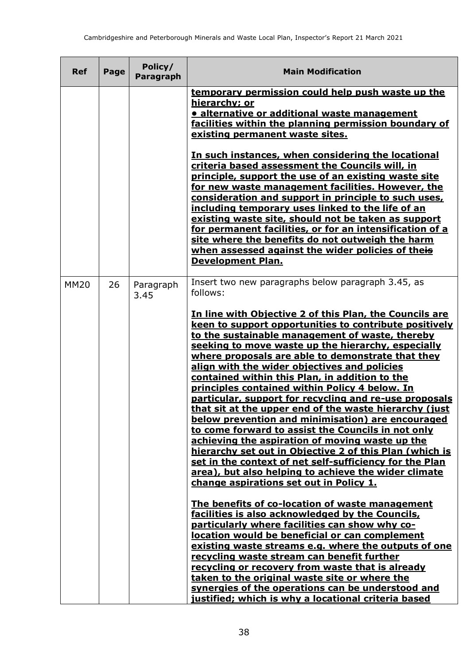| Policy/<br>Paragraph | <b>Main Modification</b>                                                                                                                                                                                                                                                                                                                                                                                                                                                                                                                                                                                                                                                                                                                                                                                                                                                                                                                                                                                                                                                                                                                                                                                                                                                                                                                                                                                                                                                                    |
|----------------------|---------------------------------------------------------------------------------------------------------------------------------------------------------------------------------------------------------------------------------------------------------------------------------------------------------------------------------------------------------------------------------------------------------------------------------------------------------------------------------------------------------------------------------------------------------------------------------------------------------------------------------------------------------------------------------------------------------------------------------------------------------------------------------------------------------------------------------------------------------------------------------------------------------------------------------------------------------------------------------------------------------------------------------------------------------------------------------------------------------------------------------------------------------------------------------------------------------------------------------------------------------------------------------------------------------------------------------------------------------------------------------------------------------------------------------------------------------------------------------------------|
|                      | temporary permission could help push waste up the<br>hierarchy; or<br>· alternative or additional waste management<br>facilities within the planning permission boundary of<br>existing permanent waste sites.                                                                                                                                                                                                                                                                                                                                                                                                                                                                                                                                                                                                                                                                                                                                                                                                                                                                                                                                                                                                                                                                                                                                                                                                                                                                              |
|                      | In such instances, when considering the locational<br>criteria based assessment the Councils will, in<br>principle, support the use of an existing waste site<br>for new waste management facilities. However, the<br>consideration and support in principle to such uses,<br>including temporary uses linked to the life of an<br>existing waste site, should not be taken as support<br>for permanent facilities, or for an intensification of a<br>site where the benefits do not outweigh the harm<br>when assessed against the wider policies of theis<br><b>Development Plan.</b>                                                                                                                                                                                                                                                                                                                                                                                                                                                                                                                                                                                                                                                                                                                                                                                                                                                                                                     |
| Paragraph<br>3.45    | Insert two new paragraphs below paragraph 3.45, as<br>follows:<br>In line with Objective 2 of this Plan, the Councils are<br>keen to support opportunities to contribute positively<br>to the sustainable management of waste, thereby<br>seeking to move waste up the hierarchy, especially<br>where proposals are able to demonstrate that they<br>align with the wider objectives and policies<br>contained within this Plan, in addition to the<br>principles contained within Policy 4 below. In<br>particular, support for recycling and re-use proposals<br>that sit at the upper end of the waste hierarchy (just<br>below prevention and minimisation) are encouraged<br>to come forward to assist the Councils in not only<br>achieving the aspiration of moving waste up the<br>hierarchy set out in Objective 2 of this Plan (which is<br>set in the context of net self-sufficiency for the Plan<br>area), but also helping to achieve the wider climate<br>change aspirations set out in Policy 1.<br>The benefits of co-location of waste management<br>facilities is also acknowledged by the Councils,<br>particularly where facilities can show why co-<br>location would be beneficial or can complement<br>existing waste streams e.g. where the outputs of one<br>recycling waste stream can benefit further<br>recycling or recovery from waste that is already<br>taken to the original waste site or where the<br>synergies of the operations can be understood and |
|                      |                                                                                                                                                                                                                                                                                                                                                                                                                                                                                                                                                                                                                                                                                                                                                                                                                                                                                                                                                                                                                                                                                                                                                                                                                                                                                                                                                                                                                                                                                             |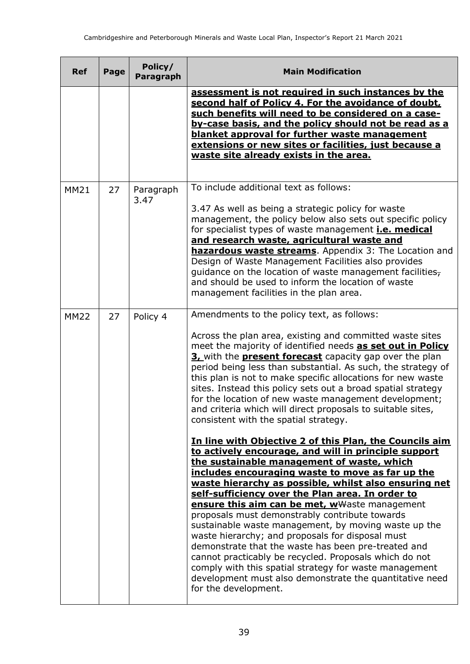| <b>Ref</b>  | Page | Policy/<br><b>Paragraph</b> | <b>Main Modification</b>                                                                                                                                                                                                                                                                                                                                                                                                                                                                                                                                                                                                                                                                                                                                                                                                                                                                                                                                                                                                                                                                                                                                                                                                                                                                                                                                                                                                     |
|-------------|------|-----------------------------|------------------------------------------------------------------------------------------------------------------------------------------------------------------------------------------------------------------------------------------------------------------------------------------------------------------------------------------------------------------------------------------------------------------------------------------------------------------------------------------------------------------------------------------------------------------------------------------------------------------------------------------------------------------------------------------------------------------------------------------------------------------------------------------------------------------------------------------------------------------------------------------------------------------------------------------------------------------------------------------------------------------------------------------------------------------------------------------------------------------------------------------------------------------------------------------------------------------------------------------------------------------------------------------------------------------------------------------------------------------------------------------------------------------------------|
|             |      |                             | assessment is not required in such instances by the<br>second half of Policy 4. For the avoidance of doubt,<br>such benefits will need to be considered on a case-<br>by-case basis, and the policy should not be read as a<br>blanket approval for further waste management<br>extensions or new sites or facilities, just because a<br>waste site already exists in the area.                                                                                                                                                                                                                                                                                                                                                                                                                                                                                                                                                                                                                                                                                                                                                                                                                                                                                                                                                                                                                                              |
| <b>MM21</b> | 27   | Paragraph<br>3.47           | To include additional text as follows:<br>3.47 As well as being a strategic policy for waste<br>management, the policy below also sets out specific policy<br>for specialist types of waste management <i>i.e.</i> medical<br>and research waste, agricultural waste and<br>hazardous waste streams. Appendix 3: The Location and<br>Design of Waste Management Facilities also provides<br>guidance on the location of waste management facilities,<br>and should be used to inform the location of waste<br>management facilities in the plan area.                                                                                                                                                                                                                                                                                                                                                                                                                                                                                                                                                                                                                                                                                                                                                                                                                                                                        |
| <b>MM22</b> | 27   | Policy 4                    | Amendments to the policy text, as follows:<br>Across the plan area, existing and committed waste sites<br>meet the majority of identified needs <b>as set out in Policy</b><br>3. with the <b>present forecast</b> capacity gap over the plan<br>period being less than substantial. As such, the strategy of<br>this plan is not to make specific allocations for new waste<br>sites. Instead this policy sets out a broad spatial strategy<br>for the location of new waste management development;<br>and criteria which will direct proposals to suitable sites,<br>consistent with the spatial strategy.<br>In line with Objective 2 of this Plan, the Councils aim<br>to actively encourage, and will in principle support<br>the sustainable management of waste, which<br>includes encouraging waste to move as far up the<br>waste hierarchy as possible, whilst also ensuring net<br>self-sufficiency over the Plan area. In order to<br>ensure this aim can be met, wWaste management<br>proposals must demonstrably contribute towards<br>sustainable waste management, by moving waste up the<br>waste hierarchy; and proposals for disposal must<br>demonstrate that the waste has been pre-treated and<br>cannot practicably be recycled. Proposals which do not<br>comply with this spatial strategy for waste management<br>development must also demonstrate the quantitative need<br>for the development. |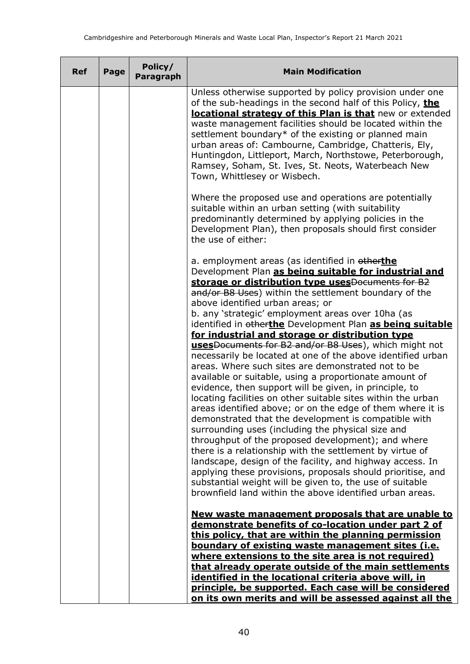| <b>Ref</b> | Page | Policy/<br>Paragraph | <b>Main Modification</b>                                                                                                                                                                                                                                                                                                                                                                                                                                                                                                                                                                                                                                                                                                                                                                                                                                                                                                                                                   |
|------------|------|----------------------|----------------------------------------------------------------------------------------------------------------------------------------------------------------------------------------------------------------------------------------------------------------------------------------------------------------------------------------------------------------------------------------------------------------------------------------------------------------------------------------------------------------------------------------------------------------------------------------------------------------------------------------------------------------------------------------------------------------------------------------------------------------------------------------------------------------------------------------------------------------------------------------------------------------------------------------------------------------------------|
|            |      |                      | Unless otherwise supported by policy provision under one<br>of the sub-headings in the second half of this Policy, the<br>locational strategy of this Plan is that new or extended<br>waste management facilities should be located within the<br>settlement boundary* of the existing or planned main<br>urban areas of: Cambourne, Cambridge, Chatteris, Ely,<br>Huntingdon, Littleport, March, Northstowe, Peterborough,<br>Ramsey, Soham, St. Ives, St. Neots, Waterbeach New<br>Town, Whittlesey or Wisbech.                                                                                                                                                                                                                                                                                                                                                                                                                                                          |
|            |      |                      | Where the proposed use and operations are potentially<br>suitable within an urban setting (with suitability<br>predominantly determined by applying policies in the<br>Development Plan), then proposals should first consider<br>the use of either:                                                                                                                                                                                                                                                                                                                                                                                                                                                                                                                                                                                                                                                                                                                       |
|            |      |                      | a. employment areas (as identified in otherthe<br>Development Plan as being suitable for industrial and<br>storage or distribution type uses Documents for B2<br>and/or B8 Uses) within the settlement boundary of the<br>above identified urban areas; or<br>b. any 'strategic' employment areas over 10ha (as<br>identified in otherthe Development Plan as being suitable                                                                                                                                                                                                                                                                                                                                                                                                                                                                                                                                                                                               |
|            |      |                      | for industrial and storage or distribution type<br><b>uses</b> Documents for B2 and/or B8 Uses), which might not<br>necessarily be located at one of the above identified urban<br>areas. Where such sites are demonstrated not to be<br>available or suitable, using a proportionate amount of<br>evidence, then support will be given, in principle, to<br>locating facilities on other suitable sites within the urban<br>areas identified above; or on the edge of them where it is<br>demonstrated that the development is compatible with<br>surrounding uses (including the physical size and<br>throughput of the proposed development); and where<br>there is a relationship with the settlement by virtue of<br>landscape, design of the facility, and highway access. In<br>applying these provisions, proposals should prioritise, and<br>substantial weight will be given to, the use of suitable<br>brownfield land within the above identified urban areas. |
|            |      |                      | <u>New waste management proposals that are unable to</u><br>demonstrate benefits of co-location under part 2 of<br>this policy, that are within the planning permission<br>boundary of existing waste management sites (i.e.<br>where extensions to the site area is not required)<br>that already operate outside of the main settlements<br>identified in the locational criteria above will, in<br>principle, be supported. Each case will be considered<br>on its own merits and will be assessed against all the                                                                                                                                                                                                                                                                                                                                                                                                                                                      |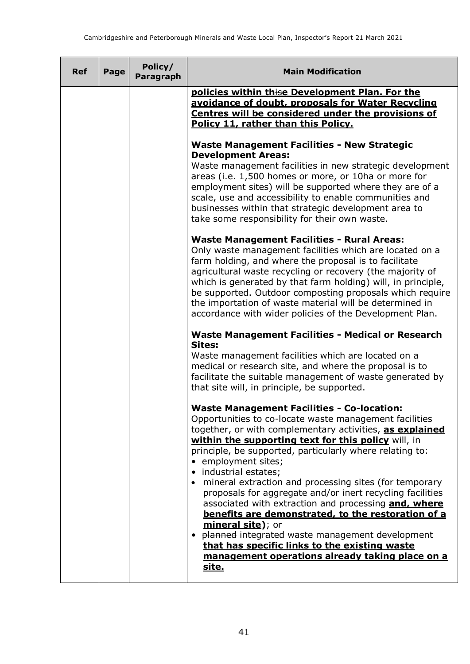| <b>Ref</b> | Page | Policy/<br>Paragraph | <b>Main Modification</b>                                                                                                                                                                                                                                                                                                                                                                                                                                                             |
|------------|------|----------------------|--------------------------------------------------------------------------------------------------------------------------------------------------------------------------------------------------------------------------------------------------------------------------------------------------------------------------------------------------------------------------------------------------------------------------------------------------------------------------------------|
|            |      |                      | policies within thise Development Plan. For the<br>avoidance of doubt, proposals for Water Recycling<br>Centres will be considered under the provisions of<br>Policy 11, rather than this Policy.<br><b>Waste Management Facilities - New Strategic</b><br><b>Development Areas:</b><br>Waste management facilities in new strategic development                                                                                                                                     |
|            |      |                      | areas (i.e. 1,500 homes or more, or 10ha or more for<br>employment sites) will be supported where they are of a<br>scale, use and accessibility to enable communities and<br>businesses within that strategic development area to<br>take some responsibility for their own waste.                                                                                                                                                                                                   |
|            |      |                      | <b>Waste Management Facilities - Rural Areas:</b><br>Only waste management facilities which are located on a<br>farm holding, and where the proposal is to facilitate<br>agricultural waste recycling or recovery (the majority of<br>which is generated by that farm holding) will, in principle,<br>be supported. Outdoor composting proposals which require<br>the importation of waste material will be determined in<br>accordance with wider policies of the Development Plan. |
|            |      |                      | <b>Waste Management Facilities - Medical or Research</b><br>Sites:<br>Waste management facilities which are located on a<br>medical or research site, and where the proposal is to<br>facilitate the suitable management of waste generated by<br>that site will, in principle, be supported.                                                                                                                                                                                        |
|            |      |                      | <b>Waste Management Facilities - Co-location:</b><br>Opportunities to co-locate waste management facilities<br>together, or with complementary activities, as explained<br>within the supporting text for this policy will, in<br>principle, be supported, particularly where relating to:<br>employment sites;<br>• industrial estates;                                                                                                                                             |
|            |      |                      | mineral extraction and processing sites (for temporary<br>proposals for aggregate and/or inert recycling facilities<br>associated with extraction and processing and, where<br>benefits are demonstrated, to the restoration of a<br>mineral site); or<br>planned integrated waste management development<br>that has specific links to the existing waste<br>management operations already taking place on a<br><u>site.</u>                                                        |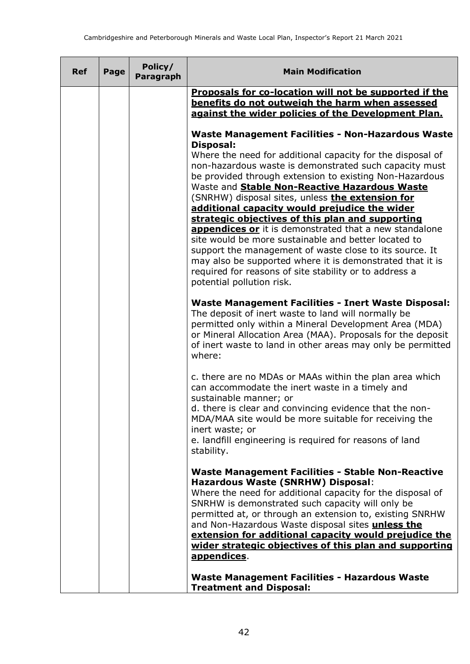| <b>Ref</b> | Page | Policy/<br>Paragraph | <b>Main Modification</b>                                                                                                                                                                                                                                                                                                                                                                                                                                                                                                                                                                                                                                                                                                                 |
|------------|------|----------------------|------------------------------------------------------------------------------------------------------------------------------------------------------------------------------------------------------------------------------------------------------------------------------------------------------------------------------------------------------------------------------------------------------------------------------------------------------------------------------------------------------------------------------------------------------------------------------------------------------------------------------------------------------------------------------------------------------------------------------------------|
|            |      |                      | Proposals for co-location will not be supported if the<br>benefits do not outweigh the harm when assessed<br>against the wider policies of the Development Plan.                                                                                                                                                                                                                                                                                                                                                                                                                                                                                                                                                                         |
|            |      |                      | <b>Waste Management Facilities - Non-Hazardous Waste</b><br>Disposal:                                                                                                                                                                                                                                                                                                                                                                                                                                                                                                                                                                                                                                                                    |
|            |      |                      | Where the need for additional capacity for the disposal of<br>non-hazardous waste is demonstrated such capacity must<br>be provided through extension to existing Non-Hazardous<br>Waste and Stable Non-Reactive Hazardous Waste<br>(SNRHW) disposal sites, unless <b>the extension for</b><br>additional capacity would prejudice the wider<br>strategic objectives of this plan and supporting<br><b>appendices or</b> it is demonstrated that a new standalone<br>site would be more sustainable and better located to<br>support the management of waste close to its source. It<br>may also be supported where it is demonstrated that it is<br>required for reasons of site stability or to address a<br>potential pollution risk. |
|            |      |                      | Waste Management Facilities - Inert Waste Disposal:<br>The deposit of inert waste to land will normally be<br>permitted only within a Mineral Development Area (MDA)<br>or Mineral Allocation Area (MAA). Proposals for the deposit<br>of inert waste to land in other areas may only be permitted<br>where:                                                                                                                                                                                                                                                                                                                                                                                                                             |
|            |      |                      | c. there are no MDAs or MAAs within the plan area which<br>can accommodate the inert waste in a timely and<br>sustainable manner; or<br>d. there is clear and convincing evidence that the non-<br>MDA/MAA site would be more suitable for receiving the<br>inert waste; or<br>e. landfill engineering is required for reasons of land<br>stability.                                                                                                                                                                                                                                                                                                                                                                                     |
|            |      |                      | <b>Waste Management Facilities - Stable Non-Reactive</b><br>Hazardous Waste (SNRHW) Disposal:<br>Where the need for additional capacity for the disposal of<br>SNRHW is demonstrated such capacity will only be<br>permitted at, or through an extension to, existing SNRHW<br>and Non-Hazardous Waste disposal sites <i>unless the</i><br>extension for additional capacity would prejudice the<br>wider strategic objectives of this plan and supporting<br>appendices.                                                                                                                                                                                                                                                                |
|            |      |                      | <b>Waste Management Facilities - Hazardous Waste</b><br><b>Treatment and Disposal:</b>                                                                                                                                                                                                                                                                                                                                                                                                                                                                                                                                                                                                                                                   |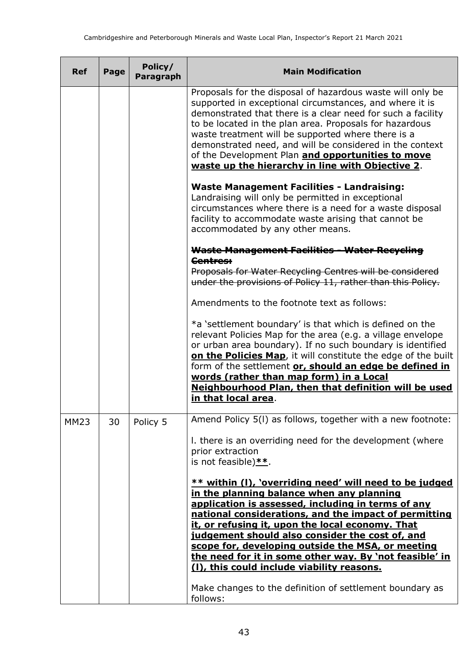| <b>Ref</b>  | Page | Policy/<br><b>Paragraph</b> | <b>Main Modification</b>                                                                                                                                                                                                                                                                                                                                                                                                                                                                                                                                                              |
|-------------|------|-----------------------------|---------------------------------------------------------------------------------------------------------------------------------------------------------------------------------------------------------------------------------------------------------------------------------------------------------------------------------------------------------------------------------------------------------------------------------------------------------------------------------------------------------------------------------------------------------------------------------------|
|             |      |                             | Proposals for the disposal of hazardous waste will only be<br>supported in exceptional circumstances, and where it is<br>demonstrated that there is a clear need for such a facility<br>to be located in the plan area. Proposals for hazardous<br>waste treatment will be supported where there is a<br>demonstrated need, and will be considered in the context<br>of the Development Plan and opportunities to move<br>waste up the hierarchy in line with Objective 2.                                                                                                            |
|             |      |                             | <b>Waste Management Facilities - Landraising:</b><br>Landraising will only be permitted in exceptional<br>circumstances where there is a need for a waste disposal<br>facility to accommodate waste arising that cannot be<br>accommodated by any other means.                                                                                                                                                                                                                                                                                                                        |
|             |      |                             | Waste Management Facilities - Water Recycling                                                                                                                                                                                                                                                                                                                                                                                                                                                                                                                                         |
|             |      |                             | Centres:<br>Proposals for Water Recycling Centres will be considered<br>under the provisions of Policy 11, rather than this Policy.                                                                                                                                                                                                                                                                                                                                                                                                                                                   |
|             |      |                             | Amendments to the footnote text as follows:                                                                                                                                                                                                                                                                                                                                                                                                                                                                                                                                           |
|             |      |                             | *a 'settlement boundary' is that which is defined on the<br>relevant Policies Map for the area (e.g. a village envelope<br>or urban area boundary). If no such boundary is identified<br>on the Policies Map, it will constitute the edge of the built<br>form of the settlement or, should an edge be defined in<br>words (rather than map form) in a Local<br><b>Neighbourhood Plan, then that definition will be used</b><br><u>in that local area.</u>                                                                                                                            |
| <b>MM23</b> | 30   | Policy 5                    | Amend Policy 5(I) as follows, together with a new footnote:                                                                                                                                                                                                                                                                                                                                                                                                                                                                                                                           |
|             |      |                             | I. there is an overriding need for the development (where<br>prior extraction<br>is not feasible) $**$ .                                                                                                                                                                                                                                                                                                                                                                                                                                                                              |
|             |      |                             | <u>** within (I), 'overriding need' will need to be judged</u><br>in the planning balance when any planning<br>application is assessed, including in terms of any<br>national considerations, and the impact of permitting<br><u>it, or refusing it, upon the local economy. That</u><br>judgement should also consider the cost of, and<br><u>scope for, developing outside the MSA, or meeting</u><br>the need for it in some other way. By 'not feasible' in<br>(I), this could include viability reasons.<br>Make changes to the definition of settlement boundary as<br>follows: |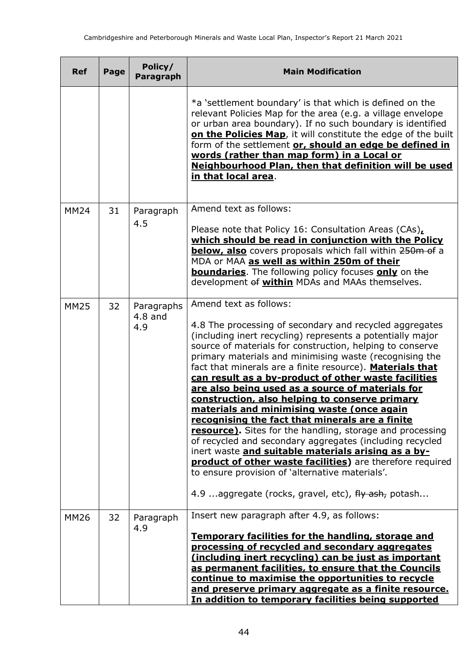| <b>Ref</b>  | Page | Policy/<br><b>Paragraph</b>    | <b>Main Modification</b>                                                                                                                                                                                                                                                                                                                                                                                                                                                                                                                                                                                                                                                                                                                                                                                                                                                                                                                                          |
|-------------|------|--------------------------------|-------------------------------------------------------------------------------------------------------------------------------------------------------------------------------------------------------------------------------------------------------------------------------------------------------------------------------------------------------------------------------------------------------------------------------------------------------------------------------------------------------------------------------------------------------------------------------------------------------------------------------------------------------------------------------------------------------------------------------------------------------------------------------------------------------------------------------------------------------------------------------------------------------------------------------------------------------------------|
|             |      |                                | *a 'settlement boundary' is that which is defined on the<br>relevant Policies Map for the area (e.g. a village envelope<br>or urban area boundary). If no such boundary is identified<br>on the Policies Map, it will constitute the edge of the built<br>form of the settlement or, should an edge be defined in<br>words (rather than map form) in a Local or<br>Neighbourhood Plan, then that definition will be used<br>in that local area.                                                                                                                                                                                                                                                                                                                                                                                                                                                                                                                   |
| <b>MM24</b> | 31   | Paragraph<br>4.5               | Amend text as follows:<br>Please note that Policy 16: Consultation Areas (CAs),<br>which should be read in conjunction with the Policy<br><b>below, also</b> covers proposals which fall within 250m of a<br>MDA or MAA as well as within 250m of their<br><b>boundaries</b> . The following policy focuses <b>only</b> on the<br>development of within MDAs and MAAs themselves.                                                                                                                                                                                                                                                                                                                                                                                                                                                                                                                                                                                 |
| <b>MM25</b> | 32   | Paragraphs<br>$4.8$ and<br>4.9 | Amend text as follows:<br>4.8 The processing of secondary and recycled aggregates<br>(including inert recycling) represents a potentially major<br>source of materials for construction, helping to conserve<br>primary materials and minimising waste (recognising the<br>fact that minerals are a finite resource). Materials that<br>can result as a by-product of other waste facilities<br>are also being used as a source of materials for<br>construction, also helping to conserve primary<br>materials and minimising waste (once again<br>recognising the fact that minerals are a finite<br>resource). Sites for the handling, storage and processing<br>of recycled and secondary aggregates (including recycled<br>inert waste and suitable materials arising as a by-<br><b>product of other waste facilities)</b> are therefore required<br>to ensure provision of 'alternative materials'.<br>4.9 aggregate (rocks, gravel, etc), fly ash, potash |
| <b>MM26</b> | 32   | Paragraph<br>4.9               | Insert new paragraph after 4.9, as follows:<br><b>Temporary facilities for the handling, storage and</b><br>processing of recycled and secondary aggregates<br>(including inert recycling) can be just as important<br>as permanent facilities, to ensure that the Councils<br>continue to maximise the opportunities to recycle<br><u>and preserve primary aggregate as a finite resource.</u><br>In addition to temporary facilities being supported                                                                                                                                                                                                                                                                                                                                                                                                                                                                                                            |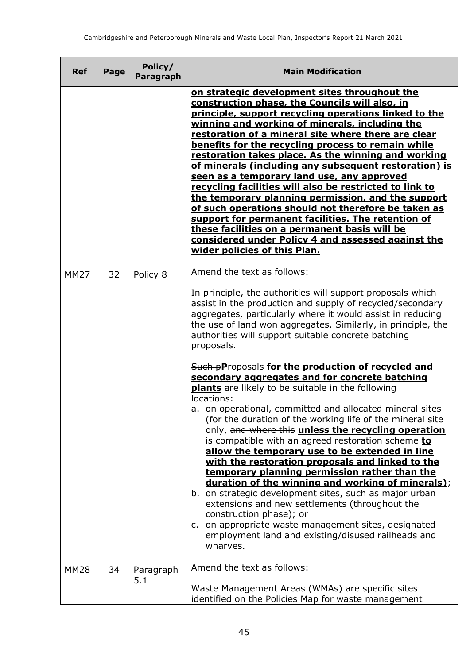| <b>Ref</b>  | Page | Policy/<br><b>Paragraph</b> | <b>Main Modification</b>                                                                                                                                                                                                                                                                                                                                                                                                                                                                                                                                                                                                                                                                                                                                                                                                                                                                                                                                                                                                                                                                                                                                                                                                                                                                    |
|-------------|------|-----------------------------|---------------------------------------------------------------------------------------------------------------------------------------------------------------------------------------------------------------------------------------------------------------------------------------------------------------------------------------------------------------------------------------------------------------------------------------------------------------------------------------------------------------------------------------------------------------------------------------------------------------------------------------------------------------------------------------------------------------------------------------------------------------------------------------------------------------------------------------------------------------------------------------------------------------------------------------------------------------------------------------------------------------------------------------------------------------------------------------------------------------------------------------------------------------------------------------------------------------------------------------------------------------------------------------------|
|             |      |                             | on strategic development sites throughout the<br>construction phase, the Councils will also, in<br>principle, support recycling operations linked to the<br>winning and working of minerals, including the<br>restoration of a mineral site where there are clear<br>benefits for the recycling process to remain while<br>restoration takes place. As the winning and working<br>of minerals (including any subsequent restoration) is<br>seen as a temporary land use, any approved<br>recycling facilities will also be restricted to link to<br>the temporary planning permission, and the support<br>of such operations should not therefore be taken as<br>support for permanent facilities. The retention of<br>these facilities on a permanent basis will be<br>considered under Policy 4 and assessed against the<br>wider policies of this Plan.                                                                                                                                                                                                                                                                                                                                                                                                                                  |
| <b>MM27</b> | 32   | Policy 8                    | Amend the text as follows:<br>In principle, the authorities will support proposals which<br>assist in the production and supply of recycled/secondary<br>aggregates, particularly where it would assist in reducing<br>the use of land won aggregates. Similarly, in principle, the<br>authorities will support suitable concrete batching<br>proposals.<br>Such pProposals for the production of recycled and<br>secondary aggregates and for concrete batching<br><b>plants</b> are likely to be suitable in the following<br>locations:<br>a. on operational, committed and allocated mineral sites<br>(for the duration of the working life of the mineral site<br>only, and where this unless the recycling operation<br>is compatible with an agreed restoration scheme to<br>allow the temporary use to be extended in line<br>with the restoration proposals and linked to the<br>temporary planning permission rather than the<br>duration of the winning and working of minerals);<br>b. on strategic development sites, such as major urban<br>extensions and new settlements (throughout the<br>construction phase); or<br>c. on appropriate waste management sites, designated<br>employment land and existing/disused railheads and<br>wharves.<br>Amend the text as follows: |
| <b>MM28</b> | 34   | Paragraph<br>5.1            | Waste Management Areas (WMAs) are specific sites<br>identified on the Policies Map for waste management                                                                                                                                                                                                                                                                                                                                                                                                                                                                                                                                                                                                                                                                                                                                                                                                                                                                                                                                                                                                                                                                                                                                                                                     |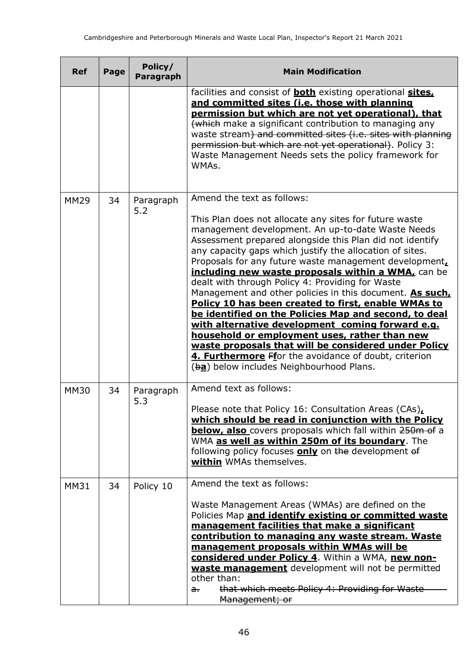| <b>Ref</b>  | Page | Policy/<br><b>Paragraph</b> | <b>Main Modification</b>                                                                                                                                                                                                                                                                                                                                                                                                                                                                                                                                                                                                                                                                                                                                                                                                                                                            |
|-------------|------|-----------------------------|-------------------------------------------------------------------------------------------------------------------------------------------------------------------------------------------------------------------------------------------------------------------------------------------------------------------------------------------------------------------------------------------------------------------------------------------------------------------------------------------------------------------------------------------------------------------------------------------------------------------------------------------------------------------------------------------------------------------------------------------------------------------------------------------------------------------------------------------------------------------------------------|
|             |      |                             | facilities and consist of <b>both</b> existing operational <b>sites</b> ,<br>and committed sites (i.e. those with planning<br>permission but which are not yet operational), that<br>(which make a significant contribution to managing any<br>waste stream) and committed sites (i.e. sites with planning<br>permission but which are not yet operational). Policy 3:<br>Waste Management Needs sets the policy framework for<br>WMAs.                                                                                                                                                                                                                                                                                                                                                                                                                                             |
| <b>MM29</b> | 34   | Paragraph<br>5.2            | Amend the text as follows:<br>This Plan does not allocate any sites for future waste<br>management development. An up-to-date Waste Needs<br>Assessment prepared alongside this Plan did not identify<br>any capacity gaps which justify the allocation of sites.<br>Proposals for any future waste management development,<br>including new waste proposals within a WMA, can be<br>dealt with through Policy 4: Providing for Waste<br>Management and other policies in this document. As such.<br>Policy 10 has been created to first, enable WMAs to<br>be identified on the Policies Map and second, to deal<br>with alternative development coming forward e.g.<br>household or employment uses, rather than new<br>waste proposals that will be considered under Policy<br>4. Furthermore Ffor the avoidance of doubt, criterion<br>(ba) below includes Neighbourhood Plans. |
| <b>MM30</b> | 34   | Paragraph<br>5.3            | Amend text as follows:<br>Please note that Policy 16: Consultation Areas (CAs)<br>which should be read in conjunction with the Policy<br><b>below, also</b> covers proposals which fall within 250m of a<br>WMA as well as within 250m of its boundary. The<br>following policy focuses <b>only</b> on the development of<br>within WMAs themselves.                                                                                                                                                                                                                                                                                                                                                                                                                                                                                                                                |
| <b>MM31</b> | 34   | Policy 10                   | Amend the text as follows:<br>Waste Management Areas (WMAs) are defined on the<br>Policies Map and identify existing or committed waste<br>management facilities that make a significant<br>contribution to managing any waste stream. Waste<br>management proposals within WMAs will be<br>considered under Policy 4. Within a WMA, new non-<br>waste management development will not be permitted<br>other than:<br>that which meets Policy 4: Providing for Waste<br>a.<br>Management; or                                                                                                                                                                                                                                                                                                                                                                                        |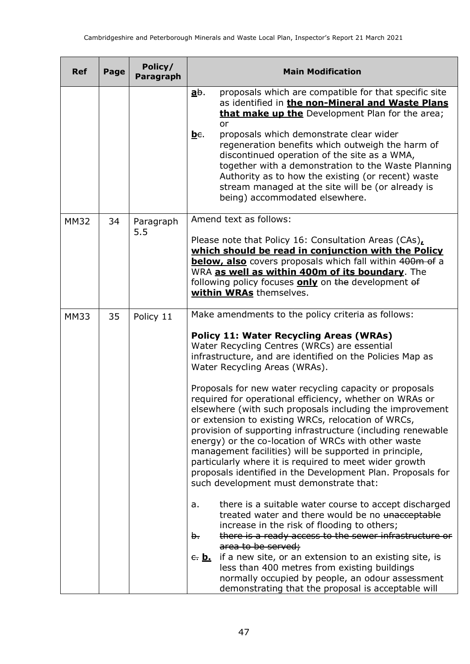| <b>Ref</b>  | Page | Policy/<br>Paragraph | <b>Main Modification</b>                                                                                                                                                                                                                                                                                                                                                                                                                                                                                                                                                                 |
|-------------|------|----------------------|------------------------------------------------------------------------------------------------------------------------------------------------------------------------------------------------------------------------------------------------------------------------------------------------------------------------------------------------------------------------------------------------------------------------------------------------------------------------------------------------------------------------------------------------------------------------------------------|
|             |      |                      | proposals which are compatible for that specific site<br><u>ab.</u><br>as identified in the non-Mineral and Waste Plans<br>that make up the Development Plan for the area;<br>or<br>proposals which demonstrate clear wider<br><u>be.</u>                                                                                                                                                                                                                                                                                                                                                |
|             |      |                      | regeneration benefits which outweigh the harm of<br>discontinued operation of the site as a WMA,<br>together with a demonstration to the Waste Planning<br>Authority as to how the existing (or recent) waste<br>stream managed at the site will be (or already is<br>being) accommodated elsewhere.                                                                                                                                                                                                                                                                                     |
| <b>MM32</b> | 34   | Paragraph<br>5.5     | Amend text as follows:<br>Please note that Policy 16: Consultation Areas (CAs)<br>which should be read in conjunction with the Policy<br><b>below, also</b> covers proposals which fall within 400m of a<br>WRA as well as within 400m of its boundary. The<br>following policy focuses <b>only</b> on the development of<br>within WRAs themselves.                                                                                                                                                                                                                                     |
| <b>MM33</b> | 35   | Policy 11            | Make amendments to the policy criteria as follows:                                                                                                                                                                                                                                                                                                                                                                                                                                                                                                                                       |
|             |      |                      | <b>Policy 11: Water Recycling Areas (WRAs)</b><br>Water Recycling Centres (WRCs) are essential<br>infrastructure, and are identified on the Policies Map as<br>Water Recycling Areas (WRAs).                                                                                                                                                                                                                                                                                                                                                                                             |
|             |      |                      | Proposals for new water recycling capacity or proposals<br>required for operational efficiency, whether on WRAs or<br>elsewhere (with such proposals including the improvement<br>or extension to existing WRCs, relocation of WRCs,<br>provision of supporting infrastructure (including renewable<br>energy) or the co-location of WRCs with other waste<br>management facilities) will be supported in principle,<br>particularly where it is required to meet wider growth<br>proposals identified in the Development Plan. Proposals for<br>such development must demonstrate that: |
|             |      |                      | there is a suitable water course to accept discharged<br>a.<br>treated water and there would be no unacceptable<br>increase in the risk of flooding to others;<br>there is a ready access to the sewer infrastructure or<br>b-<br>area to be served;<br>if a new site, or an extension to an existing site, is<br><u>e. b.</u><br>less than 400 metres from existing buildings                                                                                                                                                                                                           |
|             |      |                      | normally occupied by people, an odour assessment<br>demonstrating that the proposal is acceptable will                                                                                                                                                                                                                                                                                                                                                                                                                                                                                   |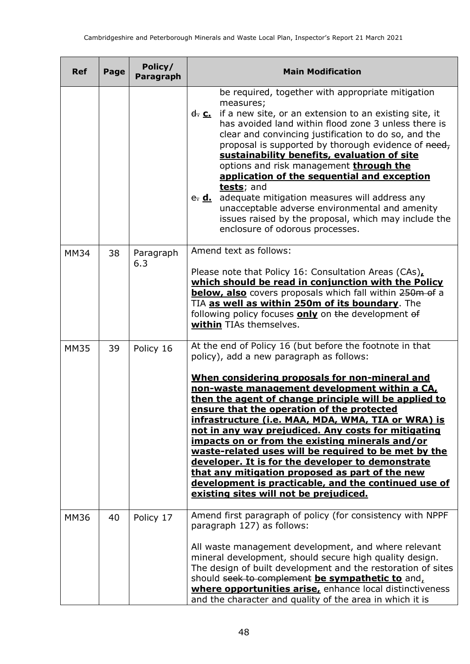| <b>Ref</b>  | Page | Policy/<br>Paragraph | <b>Main Modification</b>                                                                                                                                                                                                                                                                                                                                                                                                                                                                                                                                                                                                                                                                                                                         |
|-------------|------|----------------------|--------------------------------------------------------------------------------------------------------------------------------------------------------------------------------------------------------------------------------------------------------------------------------------------------------------------------------------------------------------------------------------------------------------------------------------------------------------------------------------------------------------------------------------------------------------------------------------------------------------------------------------------------------------------------------------------------------------------------------------------------|
|             |      |                      | be required, together with appropriate mitigation<br>measures;<br>if a new site, or an extension to an existing site, it<br><u>d. c. </u><br>has avoided land within flood zone 3 unless there is<br>clear and convincing justification to do so, and the<br>proposal is supported by thorough evidence of need,<br>sustainability benefits, evaluation of site<br>options and risk management through the<br>application of the sequential and exception<br>tests; and<br>e. <b>d.</b> adequate mitigation measures will address any<br>unacceptable adverse environmental and amenity<br>issues raised by the proposal, which may include the<br>enclosure of odorous processes.                                                               |
| <b>MM34</b> | 38   | Paragraph<br>6.3     | Amend text as follows:<br>Please note that Policy 16: Consultation Areas (CAs),<br>which should be read in conjunction with the Policy<br><b>below, also</b> covers proposals which fall within 250m of a<br>TIA as well as within 250m of its boundary. The<br>following policy focuses <b>only</b> on the development of<br>within TIAs themselves.                                                                                                                                                                                                                                                                                                                                                                                            |
| <b>MM35</b> | 39   | Policy 16            | At the end of Policy 16 (but before the footnote in that<br>policy), add a new paragraph as follows:<br>When considering proposals for non-mineral and<br>non-waste management development within a CA,<br>then the agent of change principle will be applied to<br>ensure that the operation of the protected<br>infrastructure (i.e. MAA, MDA, WMA, TIA or WRA) is<br>not in any way prejudiced. Any costs for mitigating<br>impacts on or from the existing minerals and/or<br>waste-related uses will be required to be met by the<br>developer. It is for the developer to demonstrate<br>that any mitigation proposed as part of the new<br>development is practicable, and the continued use of<br>existing sites will not be prejudiced. |
| <b>MM36</b> | 40   | Policy 17            | Amend first paragraph of policy (for consistency with NPPF<br>paragraph 127) as follows:<br>All waste management development, and where relevant<br>mineral development, should secure high quality design.<br>The design of built development and the restoration of sites<br>should seek to complement be sympathetic to and,<br>where opportunities arise, enhance local distinctiveness<br>and the character and quality of the area in which it is                                                                                                                                                                                                                                                                                          |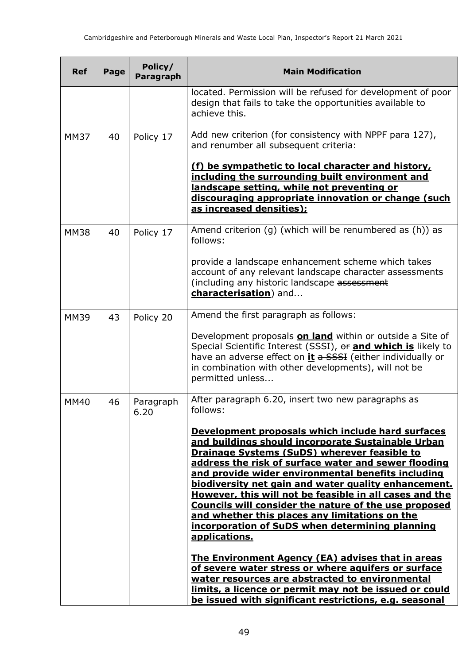| <b>Ref</b>  | Page | Policy/<br>Paragraph | <b>Main Modification</b>                                                                                                                                                                                                                                                                                                                                                                                                                                                                                                                                                              |
|-------------|------|----------------------|---------------------------------------------------------------------------------------------------------------------------------------------------------------------------------------------------------------------------------------------------------------------------------------------------------------------------------------------------------------------------------------------------------------------------------------------------------------------------------------------------------------------------------------------------------------------------------------|
|             |      |                      | located. Permission will be refused for development of poor<br>design that fails to take the opportunities available to<br>achieve this.                                                                                                                                                                                                                                                                                                                                                                                                                                              |
| <b>MM37</b> | 40   | Policy 17            | Add new criterion (for consistency with NPPF para 127),<br>and renumber all subsequent criteria:                                                                                                                                                                                                                                                                                                                                                                                                                                                                                      |
|             |      |                      | (f) be sympathetic to local character and history,<br>including the surrounding built environment and<br>landscape setting, while not preventing or<br>discouraging appropriate innovation or change (such<br>as increased densities);                                                                                                                                                                                                                                                                                                                                                |
|             |      |                      |                                                                                                                                                                                                                                                                                                                                                                                                                                                                                                                                                                                       |
| <b>MM38</b> | 40   | Policy 17            | Amend criterion $(g)$ (which will be renumbered as $(h)$ ) as<br>follows:                                                                                                                                                                                                                                                                                                                                                                                                                                                                                                             |
|             |      |                      | provide a landscape enhancement scheme which takes<br>account of any relevant landscape character assessments<br>(including any historic landscape assessment<br>characterisation) and                                                                                                                                                                                                                                                                                                                                                                                                |
| <b>MM39</b> | 43   | Policy 20            | Amend the first paragraph as follows:                                                                                                                                                                                                                                                                                                                                                                                                                                                                                                                                                 |
|             |      |                      | Development proposals on land within or outside a Site of<br>Special Scientific Interest (SSSI), or and which is likely to<br>have an adverse effect on it a SSSI (either individually or<br>in combination with other developments), will not be<br>permitted unless                                                                                                                                                                                                                                                                                                                 |
| <b>MM40</b> | 46   | Paragraph<br>6.20    | After paragraph 6.20, insert two new paragraphs as<br>follows:                                                                                                                                                                                                                                                                                                                                                                                                                                                                                                                        |
|             |      |                      | Development proposals which include hard surfaces<br>and buildings should incorporate Sustainable Urban<br><b>Drainage Systems (SuDS) wherever feasible to</b><br>address the risk of surface water and sewer flooding<br>and provide wider environmental benefits including<br>biodiversity net gain and water quality enhancement.<br>However, this will not be feasible in all cases and the<br><b>Councils will consider the nature of the use proposed</b><br>and whether this places any limitations on the<br>incorporation of SuDS when determining planning<br>applications. |
|             |      |                      | <b>The Environment Agency (EA) advises that in areas</b><br>of severe water stress or where aquifers or surface<br>water resources are abstracted to environmental<br>limits, a licence or permit may not be issued or could<br>be issued with significant restrictions, e.g. seasonal                                                                                                                                                                                                                                                                                                |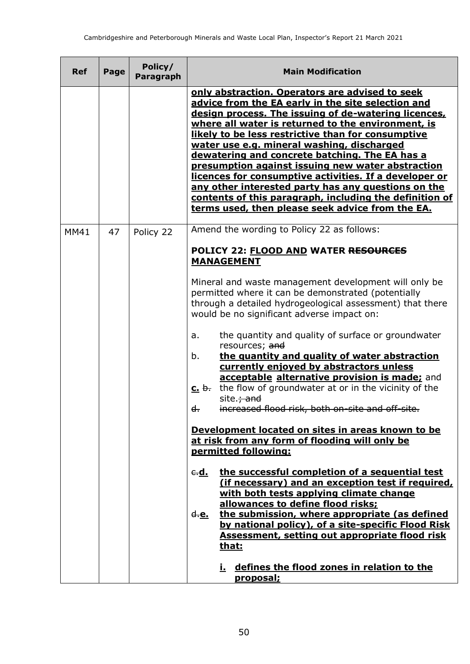| <b>Ref</b> | Page | Policy/<br>Paragraph | <b>Main Modification</b>                                                                                                                                                                                                                                                                                                                                                                                                                                                                                                                                                                                                                                       |
|------------|------|----------------------|----------------------------------------------------------------------------------------------------------------------------------------------------------------------------------------------------------------------------------------------------------------------------------------------------------------------------------------------------------------------------------------------------------------------------------------------------------------------------------------------------------------------------------------------------------------------------------------------------------------------------------------------------------------|
|            |      |                      | only abstraction. Operators are advised to seek<br>advice from the EA early in the site selection and<br>design process. The issuing of de-watering licences,<br>where all water is returned to the environment, is<br>likely to be less restrictive than for consumptive<br>water use e.g. mineral washing, discharged<br>dewatering and concrete batching. The EA has a<br>presumption against issuing new water abstraction<br>licences for consumptive activities. If a developer or<br>any other interested party has any questions on the<br>contents of this paragraph, including the definition of<br>terms used, then please seek advice from the EA. |
| MM41       | 47   | Policy 22            | Amend the wording to Policy 22 as follows:<br>POLICY 22: FLOOD AND WATER RESOURCES<br><b>MANAGEMENT</b>                                                                                                                                                                                                                                                                                                                                                                                                                                                                                                                                                        |
|            |      |                      | Mineral and waste management development will only be<br>permitted where it can be demonstrated (potentially<br>through a detailed hydrogeological assessment) that there<br>would be no significant adverse impact on:                                                                                                                                                                                                                                                                                                                                                                                                                                        |
|            |      |                      | the quantity and quality of surface or groundwater<br>a.<br>resources; and<br>the quantity and quality of water abstraction<br>b.<br>currently enjoyed by abstractors unless<br>acceptable alternative provision is made; and<br>the flow of groundwater at or in the vicinity of the<br><u>c. b.</u><br>site. <del>; and</del><br>increased flood risk, both on-site and off-site.<br>$d_{\tau}$                                                                                                                                                                                                                                                              |
|            |      |                      | Development located on sites in areas known to be<br>at risk from any form of flooding will only be<br>permitted following:                                                                                                                                                                                                                                                                                                                                                                                                                                                                                                                                    |
|            |      |                      | the successful completion of a sequential test<br><u>e.d.</u><br>(if necessary) and an exception test if required,<br>with both tests applying climate change<br>allowances to define flood risks;<br>the submission, where appropriate (as defined<br><u>d.e.</u><br>by national policy), of a site-specific Flood Risk<br><b>Assessment, setting out appropriate flood risk</b><br>that:                                                                                                                                                                                                                                                                     |
|            |      |                      | i. defines the flood zones in relation to the<br><u>proposal;</u>                                                                                                                                                                                                                                                                                                                                                                                                                                                                                                                                                                                              |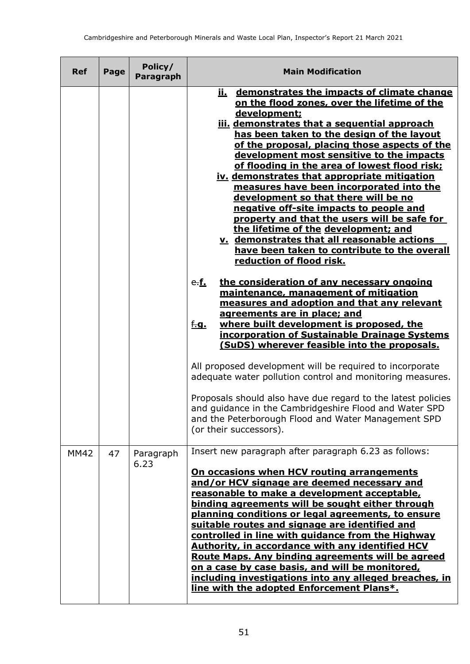| <b>Ref</b>  | Page | Policy/<br>Paragraph | <b>Main Modification</b>                                                                                                                                                                                                                                                                                                                                                                                                                                                                                                                                                                                                                                                                                                                                                                                                                                                                                                                                                                                                                                                                                                                                                                                                                       |
|-------------|------|----------------------|------------------------------------------------------------------------------------------------------------------------------------------------------------------------------------------------------------------------------------------------------------------------------------------------------------------------------------------------------------------------------------------------------------------------------------------------------------------------------------------------------------------------------------------------------------------------------------------------------------------------------------------------------------------------------------------------------------------------------------------------------------------------------------------------------------------------------------------------------------------------------------------------------------------------------------------------------------------------------------------------------------------------------------------------------------------------------------------------------------------------------------------------------------------------------------------------------------------------------------------------|
|             |      |                      | ii. demonstrates the impacts of climate change<br>on the flood zones, over the lifetime of the<br>development;<br>iii. demonstrates that a sequential approach<br>has been taken to the design of the layout<br>of the proposal, placing those aspects of the<br>development most sensitive to the impacts<br>of flooding in the area of lowest flood risk;<br>iv. demonstrates that appropriate mitigation<br>measures have been incorporated into the<br>development so that there will be no<br>negative off-site impacts to people and<br>property and that the users will be safe for<br>the lifetime of the development; and<br>v. demonstrates that all reasonable actions<br>have been taken to contribute to the overall<br>reduction of flood risk.<br>the consideration of any necessary ongoing<br><u>e.f.</u><br>maintenance, management of mitigation<br>measures and adoption and that any relevant<br>agreements are in place; and<br>where built development is proposed, the<br><u>f.g.</u><br><b>incorporation of Sustainable Drainage Systems</b><br>(SuDS) wherever feasible into the proposals.<br>All proposed development will be required to incorporate<br>adequate water pollution control and monitoring measures. |
|             |      |                      | Proposals should also have due regard to the latest policies<br>and guidance in the Cambridgeshire Flood and Water SPD<br>and the Peterborough Flood and Water Management SPD<br>(or their successors).                                                                                                                                                                                                                                                                                                                                                                                                                                                                                                                                                                                                                                                                                                                                                                                                                                                                                                                                                                                                                                        |
| <b>MM42</b> | 47   | Paragraph<br>6.23    | Insert new paragraph after paragraph 6.23 as follows:<br>On occasions when HCV routing arrangements<br>and/or HCV signage are deemed necessary and<br>reasonable to make a development acceptable,<br>binding agreements will be sought either through<br>planning conditions or legal agreements, to ensure<br>suitable routes and signage are identified and<br>controlled in line with guidance from the Highway<br><b>Authority, in accordance with any identified HCV</b><br>Route Maps. Any binding agreements will be agreed<br>on a case by case basis, and will be monitored,<br>including investigations into any alleged breaches, in<br>line with the adopted Enforcement Plans*.                                                                                                                                                                                                                                                                                                                                                                                                                                                                                                                                                  |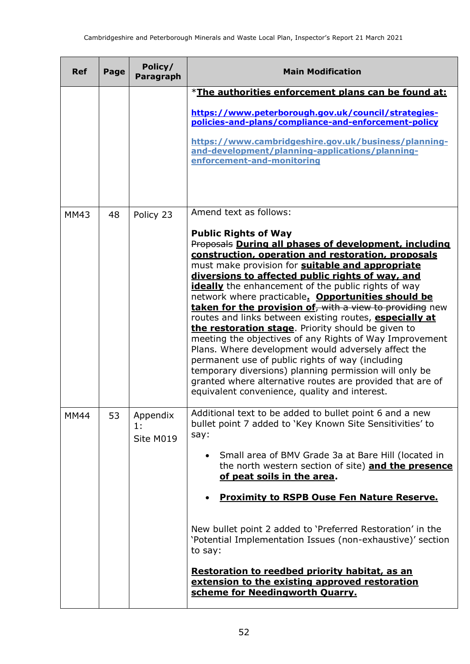| <b>Ref</b>  | Page | Policy/<br><b>Paragraph</b> | <b>Main Modification</b>                                                                                                                                                                                                                                                                                                                                                                                                                                                                                                                                                                                                                                                                                                                                                                                                                                                                                                                  |  |  |  |  |
|-------------|------|-----------------------------|-------------------------------------------------------------------------------------------------------------------------------------------------------------------------------------------------------------------------------------------------------------------------------------------------------------------------------------------------------------------------------------------------------------------------------------------------------------------------------------------------------------------------------------------------------------------------------------------------------------------------------------------------------------------------------------------------------------------------------------------------------------------------------------------------------------------------------------------------------------------------------------------------------------------------------------------|--|--|--|--|
|             |      |                             | *The authorities enforcement plans can be found at:<br>https://www.peterborough.gov.uk/council/strategies-<br>policies-and-plans/compliance-and-enforcement-policy<br>https://www.cambridgeshire.gov.uk/business/planning-<br>and-development/planning-applications/planning-<br>enforcement-and-monitoring                                                                                                                                                                                                                                                                                                                                                                                                                                                                                                                                                                                                                               |  |  |  |  |
| <b>MM43</b> | 48   | Policy 23                   | Amend text as follows:<br><b>Public Rights of Way</b><br>Proposals During all phases of development, including<br>construction, operation and restoration, proposals<br>must make provision for <b>suitable and appropriate</b><br>diversions to affected public rights of way, and<br><b>ideally</b> the enhancement of the public rights of way<br>network where practicable. Opportunities should be<br>taken for the provision of, with a view to providing new<br>routes and links between existing routes, <b>especially at</b><br>the restoration stage. Priority should be given to<br>meeting the objectives of any Rights of Way Improvement<br>Plans. Where development would adversely affect the<br>permanent use of public rights of way (including<br>temporary diversions) planning permission will only be<br>granted where alternative routes are provided that are of<br>equivalent convenience, quality and interest. |  |  |  |  |
| <b>MM44</b> | 53   | Appendix<br>1:<br>Site M019 | Additional text to be added to bullet point 6 and a new<br>bullet point 7 added to 'Key Known Site Sensitivities' to<br>say:<br>• Small area of BMV Grade 3a at Bare Hill (located in<br>the north western section of site) and the presence<br>of peat soils in the area.<br><b>Proximity to RSPB Ouse Fen Nature Reserve.</b><br>New bullet point 2 added to 'Preferred Restoration' in the<br>'Potential Implementation Issues (non-exhaustive)' section<br>to say:<br>Restoration to reedbed priority habitat, as an<br>extension to the existing approved restoration<br>scheme for Needingworth Quarry.                                                                                                                                                                                                                                                                                                                             |  |  |  |  |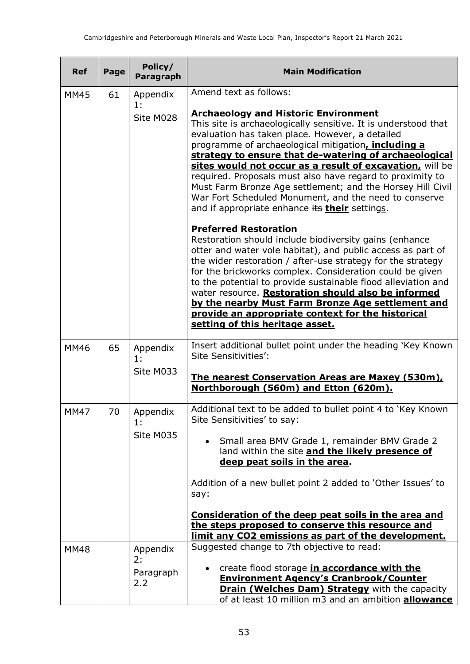| <b>Ref</b>  | Page | Policy/<br>Paragraph               | <b>Main Modification</b>                                                                                                                                                                                                                                                                                                                                                                                                                                                                                                                                                                                                                                                                                                                                                                                                                                                                                                                                                                                                                                                                                                                                                     |  |  |  |  |
|-------------|------|------------------------------------|------------------------------------------------------------------------------------------------------------------------------------------------------------------------------------------------------------------------------------------------------------------------------------------------------------------------------------------------------------------------------------------------------------------------------------------------------------------------------------------------------------------------------------------------------------------------------------------------------------------------------------------------------------------------------------------------------------------------------------------------------------------------------------------------------------------------------------------------------------------------------------------------------------------------------------------------------------------------------------------------------------------------------------------------------------------------------------------------------------------------------------------------------------------------------|--|--|--|--|
| <b>MM45</b> | 61   | Appendix<br>1:<br>Site M028        | Amend text as follows:<br><b>Archaeology and Historic Environment</b><br>This site is archaeologically sensitive. It is understood that<br>evaluation has taken place. However, a detailed<br>programme of archaeological mitigation, including a<br>strategy to ensure that de-watering of archaeological<br>sites would not occur as a result of excavation, will be<br>required. Proposals must also have regard to proximity to<br>Must Farm Bronze Age settlement; and the Horsey Hill Civil<br>War Fort Scheduled Monument, and the need to conserve<br>and if appropriate enhance its <b>their</b> settings.<br><b>Preferred Restoration</b><br>Restoration should include biodiversity gains (enhance<br>otter and water vole habitat), and public access as part of<br>the wider restoration / after-use strategy for the strategy<br>for the brickworks complex. Consideration could be given<br>to the potential to provide sustainable flood alleviation and<br>water resource. Restoration should also be informed<br>by the nearby Must Farm Bronze Age settlement and<br>provide an appropriate context for the historical<br>setting of this heritage asset. |  |  |  |  |
| <b>MM46</b> | 65   | Appendix<br>1:<br>Site M033        | Insert additional bullet point under the heading 'Key Known<br>Site Sensitivities':<br>The nearest Conservation Areas are Maxey (530m),<br>Northborough (560m) and Etton (620m).                                                                                                                                                                                                                                                                                                                                                                                                                                                                                                                                                                                                                                                                                                                                                                                                                                                                                                                                                                                             |  |  |  |  |
| <b>MM47</b> | 70   | Appendix<br>1:<br>Site M035        | Additional text to be added to bullet point 4 to 'Key Known<br>Site Sensitivities' to say:<br>Small area BMV Grade 1, remainder BMV Grade 2<br>land within the site and the likely presence of<br>deep peat soils in the area.<br>Addition of a new bullet point 2 added to 'Other Issues' to<br>say:<br>Consideration of the deep peat soils in the area and<br>the steps proposed to conserve this resource and<br>limit any CO2 emissions as part of the development.                                                                                                                                                                                                                                                                                                                                                                                                                                                                                                                                                                                                                                                                                                     |  |  |  |  |
| <b>MM48</b> |      | Appendix<br>2:<br>Paragraph<br>2.2 | Suggested change to 7th objective to read:<br>create flood storage in accordance with the<br><b>Environment Agency's Cranbrook/Counter</b><br><b>Drain (Welches Dam) Strategy</b> with the capacity<br>of at least 10 million m3 and an ambition allowance                                                                                                                                                                                                                                                                                                                                                                                                                                                                                                                                                                                                                                                                                                                                                                                                                                                                                                                   |  |  |  |  |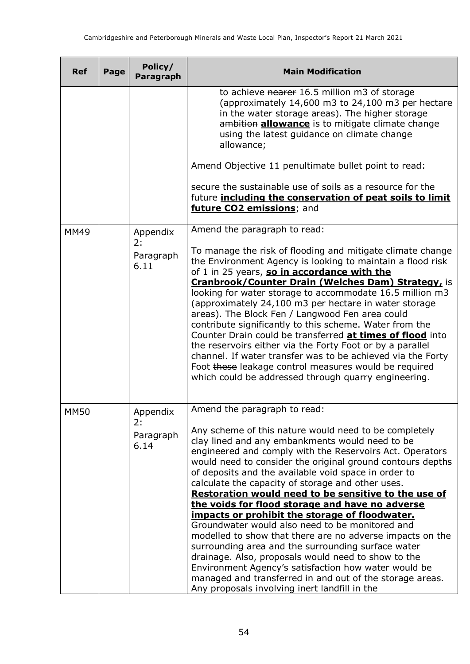| <b>Ref</b>  | Page | Policy/<br><b>Paragraph</b> | <b>Main Modification</b>                                                                                                                                                                                                                                                                                                                                                                                                                                                                                                                                                                                                                                                                                                                                                                                                                                                                                       |
|-------------|------|-----------------------------|----------------------------------------------------------------------------------------------------------------------------------------------------------------------------------------------------------------------------------------------------------------------------------------------------------------------------------------------------------------------------------------------------------------------------------------------------------------------------------------------------------------------------------------------------------------------------------------------------------------------------------------------------------------------------------------------------------------------------------------------------------------------------------------------------------------------------------------------------------------------------------------------------------------|
|             |      |                             | to achieve nearer 16.5 million m3 of storage<br>(approximately 14,600 m3 to 24,100 m3 per hectare<br>in the water storage areas). The higher storage<br>ambition <b>allowance</b> is to mitigate climate change<br>using the latest guidance on climate change<br>allowance;                                                                                                                                                                                                                                                                                                                                                                                                                                                                                                                                                                                                                                   |
|             |      |                             | Amend Objective 11 penultimate bullet point to read:                                                                                                                                                                                                                                                                                                                                                                                                                                                                                                                                                                                                                                                                                                                                                                                                                                                           |
|             |      |                             | secure the sustainable use of soils as a resource for the<br>future <i>including the conservation of peat soils to limit</i><br>future CO2 emissions; and                                                                                                                                                                                                                                                                                                                                                                                                                                                                                                                                                                                                                                                                                                                                                      |
| <b>MM49</b> |      | Appendix<br>2:              | Amend the paragraph to read:                                                                                                                                                                                                                                                                                                                                                                                                                                                                                                                                                                                                                                                                                                                                                                                                                                                                                   |
|             |      | Paragraph<br>6.11           | To manage the risk of flooding and mitigate climate change<br>the Environment Agency is looking to maintain a flood risk<br>of 1 in 25 years, so in accordance with the<br><b>Cranbrook/Counter Drain (Welches Dam) Strategy, is</b>                                                                                                                                                                                                                                                                                                                                                                                                                                                                                                                                                                                                                                                                           |
|             |      |                             | looking for water storage to accommodate 16.5 million m3<br>(approximately 24,100 m3 per hectare in water storage<br>areas). The Block Fen / Langwood Fen area could<br>contribute significantly to this scheme. Water from the<br>Counter Drain could be transferred at times of flood into<br>the reservoirs either via the Forty Foot or by a parallel<br>channel. If water transfer was to be achieved via the Forty<br>Foot these leakage control measures would be required<br>which could be addressed through quarry engineering.                                                                                                                                                                                                                                                                                                                                                                      |
| <b>MM50</b> |      | Appendix<br>2:              | Amend the paragraph to read:                                                                                                                                                                                                                                                                                                                                                                                                                                                                                                                                                                                                                                                                                                                                                                                                                                                                                   |
|             |      | Paragraph<br>6.14           | Any scheme of this nature would need to be completely<br>clay lined and any embankments would need to be<br>engineered and comply with the Reservoirs Act. Operators<br>would need to consider the original ground contours depths<br>of deposits and the available void space in order to<br>calculate the capacity of storage and other uses.<br>Restoration would need to be sensitive to the use of<br>the voids for flood storage and have no adverse<br>impacts or prohibit the storage of floodwater.<br>Groundwater would also need to be monitored and<br>modelled to show that there are no adverse impacts on the<br>surrounding area and the surrounding surface water<br>drainage. Also, proposals would need to show to the<br>Environment Agency's satisfaction how water would be<br>managed and transferred in and out of the storage areas.<br>Any proposals involving inert landfill in the |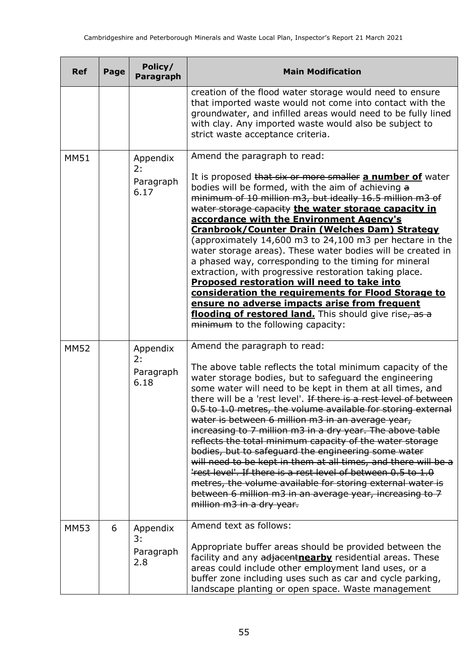| <b>Ref</b>  | Page | Policy/<br><b>Paragraph</b> | <b>Main Modification</b>                                                                                                                                                                                                                                                                                                                                                                                                                                                                                                                                                                                                                                                                                                                                                                                                                                    |  |  |  |  |  |
|-------------|------|-----------------------------|-------------------------------------------------------------------------------------------------------------------------------------------------------------------------------------------------------------------------------------------------------------------------------------------------------------------------------------------------------------------------------------------------------------------------------------------------------------------------------------------------------------------------------------------------------------------------------------------------------------------------------------------------------------------------------------------------------------------------------------------------------------------------------------------------------------------------------------------------------------|--|--|--|--|--|
|             |      |                             | creation of the flood water storage would need to ensure<br>that imported waste would not come into contact with the<br>groundwater, and infilled areas would need to be fully lined<br>with clay. Any imported waste would also be subject to<br>strict waste acceptance criteria.                                                                                                                                                                                                                                                                                                                                                                                                                                                                                                                                                                         |  |  |  |  |  |
| <b>MM51</b> |      | Appendix<br>2:              | Amend the paragraph to read:                                                                                                                                                                                                                                                                                                                                                                                                                                                                                                                                                                                                                                                                                                                                                                                                                                |  |  |  |  |  |
|             |      | Paragraph<br>6.17           | It is proposed that six or more smaller <b>a number of</b> water<br>bodies will be formed, with the aim of achieving a<br>minimum of 10 million m3, but ideally 16.5 million m3 of<br>water storage capacity the water storage capacity in<br>accordance with the Environment Agency's<br><b>Cranbrook/Counter Drain (Welches Dam) Strategy</b><br>(approximately 14,600 m3 to 24,100 m3 per hectare in the<br>water storage areas). These water bodies will be created in<br>a phased way, corresponding to the timing for mineral<br>extraction, with progressive restoration taking place.<br><b>Proposed restoration will need to take into</b><br>consideration the requirements for Flood Storage to<br>ensure no adverse impacts arise from frequent<br>flooding of restored land. This should give rise, as a<br>minimum to the following capacity: |  |  |  |  |  |
| <b>MM52</b> |      | Appendix<br>2:              | Amend the paragraph to read:                                                                                                                                                                                                                                                                                                                                                                                                                                                                                                                                                                                                                                                                                                                                                                                                                                |  |  |  |  |  |
|             |      | Paragraph<br>6.18           | The above table reflects the total minimum capacity of the<br>water storage bodies, but to safeguard the engineering<br>some water will need to be kept in them at all times, and<br>there will be a 'rest level'. If there is a rest level of between<br>0.5 to 1.0 metres, the volume available for storing external<br>water is between 6 million m3 in an average year,<br>increasing to 7 million m3 in a dry year. The above table<br>reflects the total minimum capacity of the water storage<br>bodies, but to safeguard the engineering some water<br>will need to be kept in them at all times, and there will be a<br>'rest level'. If there is a rest level of between 0.5 to 1.0<br>metres, the volume available for storing external water is<br>between 6 million m3 in an average year, increasing to 7<br>million m3 in a dry year.        |  |  |  |  |  |
| <b>MM53</b> | 6    | Appendix<br>3:              | Amend text as follows:                                                                                                                                                                                                                                                                                                                                                                                                                                                                                                                                                                                                                                                                                                                                                                                                                                      |  |  |  |  |  |
|             |      | Paragraph<br>2.8            | Appropriate buffer areas should be provided between the<br>facility and any adjacentnearby residential areas. These<br>areas could include other employment land uses, or a<br>buffer zone including uses such as car and cycle parking,<br>landscape planting or open space. Waste management                                                                                                                                                                                                                                                                                                                                                                                                                                                                                                                                                              |  |  |  |  |  |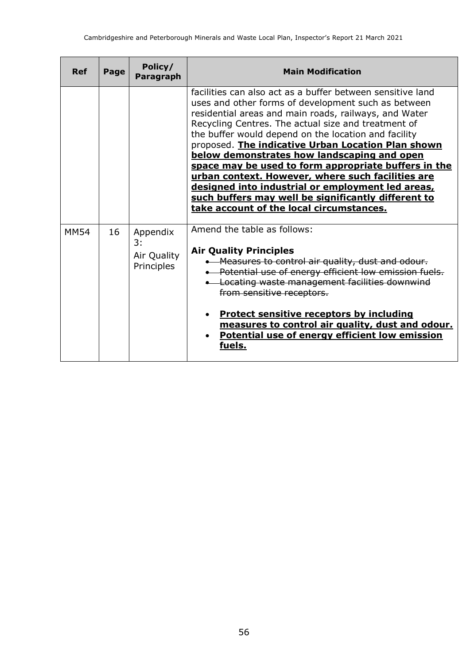| <b>Ref</b>  | Page | Policy/<br>Paragraph                        | <b>Main Modification</b>                                                                                                                                                                                                                                                                                                                                                                                                                                                                                                                                                                                                                                            |  |  |  |  |  |
|-------------|------|---------------------------------------------|---------------------------------------------------------------------------------------------------------------------------------------------------------------------------------------------------------------------------------------------------------------------------------------------------------------------------------------------------------------------------------------------------------------------------------------------------------------------------------------------------------------------------------------------------------------------------------------------------------------------------------------------------------------------|--|--|--|--|--|
|             |      |                                             | facilities can also act as a buffer between sensitive land<br>uses and other forms of development such as between<br>residential areas and main roads, railways, and Water<br>Recycling Centres. The actual size and treatment of<br>the buffer would depend on the location and facility<br>proposed. The indicative Urban Location Plan shown<br>below demonstrates how landscaping and open<br>space may be used to form appropriate buffers in the<br>urban context. However, where such facilities are<br>designed into industrial or employment led areas,<br>such buffers may well be significantly different to<br>take account of the local circumstances. |  |  |  |  |  |
| <b>MM54</b> | 16   | Appendix<br>3:<br>Air Quality<br>Principles | Amend the table as follows:<br><b>Air Quality Principles</b><br>. Measures to control air quality, dust and odour.<br>. Potential use of energy efficient low emission fuels.<br><b>.</b> Locating waste management facilities downwind<br>from sensitive receptors.<br><b>Protect sensitive receptors by including</b><br>measures to control air quality, dust and odour.<br><b>Potential use of energy efficient low emission</b><br>fuels.                                                                                                                                                                                                                      |  |  |  |  |  |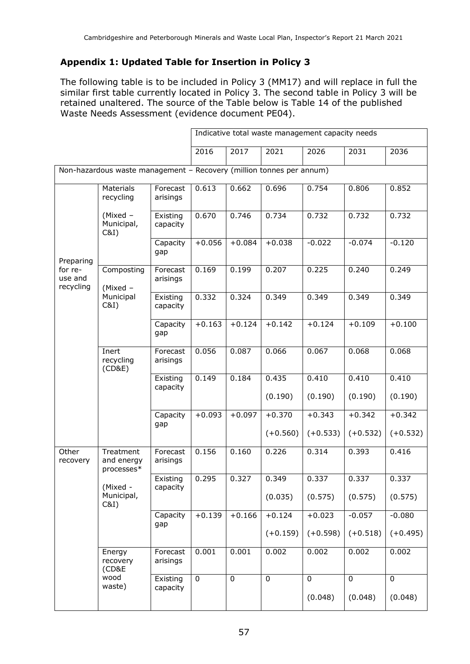### **Appendix 1: Updated Table for Insertion in Policy 3**

The following table is to be included in Policy 3 (MM17) and will replace in full the similar first table currently located in Policy 3. The second table in Policy 3 will be retained unaltered. The source of the Table below is Table 14 of the published Waste Needs Assessment (evidence document PE04).

|                                 |                                                                      |                      | Indicative total waste management capacity needs |             |            |            |            |             |  |
|---------------------------------|----------------------------------------------------------------------|----------------------|--------------------------------------------------|-------------|------------|------------|------------|-------------|--|
|                                 |                                                                      |                      | 2016                                             | 2017        | 2021       | 2026       | 2031       | 2036        |  |
|                                 | Non-hazardous waste management - Recovery (million tonnes per annum) |                      |                                                  |             |            |            |            |             |  |
|                                 | <b>Materials</b><br>recycling                                        | Forecast<br>arisings | 0.613                                            | 0.662       | 0.696      | 0.754      | 0.806      | 0.852       |  |
|                                 | (Mixed -<br>Municipal,<br>C&I                                        | Existing<br>capacity | 0.670                                            | 0.746       | 0.734      | 0.732      | 0.732      | 0.732       |  |
| Preparing                       |                                                                      | Capacity<br>gap      | $+0.056$                                         | $+0.084$    | $+0.038$   | $-0.022$   | $-0.074$   | $-0.120$    |  |
| for re-<br>use and<br>recycling | Composting<br>$(Mixed -$                                             | Forecast<br>arisings | 0.169                                            | 0.199       | 0.207      | 0.225      | 0.240      | 0.249       |  |
|                                 | Municipal<br>C&I                                                     | Existing<br>capacity | 0.332                                            | 0.324       | 0.349      | 0.349      | 0.349      | 0.349       |  |
|                                 |                                                                      | Capacity<br>gap      | $+0.163$                                         | $+0.124$    | $+0.142$   | $+0.124$   | $+0.109$   | $+0.100$    |  |
|                                 | Inert<br>recycling<br>(CD&E)                                         | Forecast<br>arisings | 0.056                                            | 0.087       | 0.066      | 0.067      | 0.068      | 0.068       |  |
|                                 |                                                                      | Existing<br>capacity | 0.149                                            | 0.184       | 0.435      | 0.410      | 0.410      | 0.410       |  |
|                                 |                                                                      |                      |                                                  |             | (0.190)    | (0.190)    | (0.190)    | (0.190)     |  |
|                                 |                                                                      | Capacity<br>gap      | $+0.093$                                         | $+0.097$    | $+0.370$   | $+0.343$   | $+0.342$   | $+0.342$    |  |
|                                 |                                                                      |                      |                                                  |             | $(+0.560)$ | $(+0.533)$ | $(+0.532)$ | $(+0.532)$  |  |
| Other<br>recovery               | Treatment<br>and energy<br>processes*                                | Forecast<br>arisings | 0.156                                            | 0.160       | 0.226      | 0.314      | 0.393      | 0.416       |  |
|                                 | (Mixed -<br>Municipal,<br>C&I                                        | Existing<br>capacity | 0.295                                            | 0.327       | 0.349      | 0.337      | 0.337      | 0.337       |  |
|                                 |                                                                      |                      |                                                  |             | (0.035)    | (0.575)    | (0.575)    | (0.575)     |  |
|                                 |                                                                      | Capacity<br>gap      | $+0.139$                                         | $+0.166$    | $+0.124$   | $+0.023$   | $-0.057$   | $-0.080$    |  |
|                                 |                                                                      |                      |                                                  |             | $(+0.159)$ | $(+0.598)$ | $(+0.518)$ | $(+0.495)$  |  |
|                                 | Energy<br>recovery<br>(CD&E                                          | Forecast<br>arisings | 0.001                                            | 0.001       | 0.002      | 0.002      | 0.002      | 0.002       |  |
|                                 | wood<br>waste)                                                       | Existing<br>capacity | $\mathbf 0$                                      | $\mathbf 0$ | 0          | 0          | 0          | $\mathbf 0$ |  |
|                                 |                                                                      |                      |                                                  |             |            | (0.048)    | (0.048)    | (0.048)     |  |